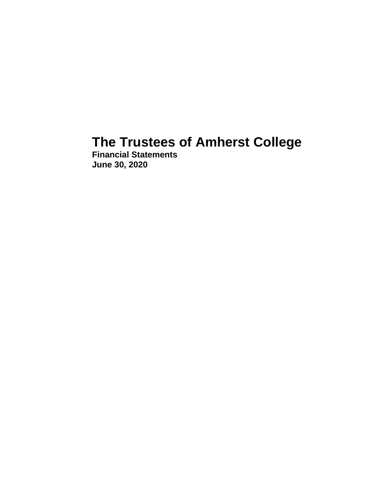# **The Trustees of Amherst College**

**Financial Statements June 30, 2020**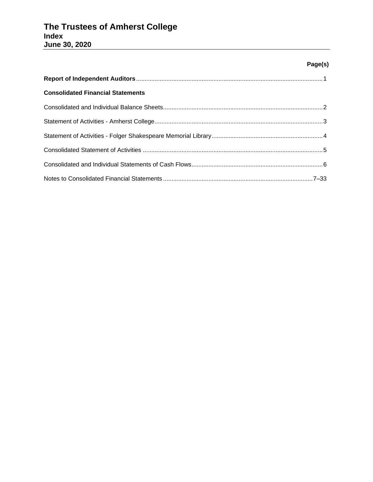# **Page(s)**

| <b>Consolidated Financial Statements</b> |  |
|------------------------------------------|--|
|                                          |  |
|                                          |  |
|                                          |  |
|                                          |  |
|                                          |  |
|                                          |  |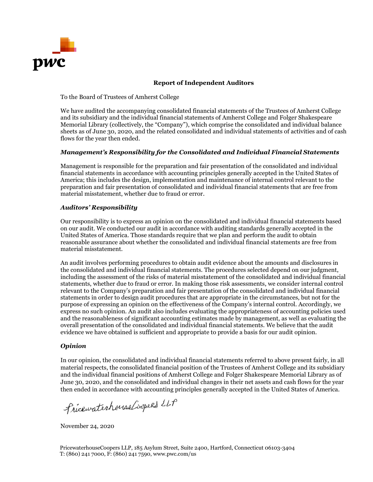

# **Report of Independent Auditors**

To the Board of Trustees of Amherst College

We have audited the accompanying consolidated financial statements of the Trustees of Amherst College and its subsidiary and the individual financial statements of Amherst College and Folger Shakespeare Memorial Library (collectively, the "Company"), which comprise the consolidated and individual balance sheets as of June 30, 2020, and the related consolidated and individual statements of activities and of cash flows for the year then ended.

# *Management's Responsibility for the Consolidated and Individual Financial Statements*

Management is responsible for the preparation and fair presentation of the consolidated and individual financial statements in accordance with accounting principles generally accepted in the United States of America; this includes the design, implementation and maintenance of internal control relevant to the preparation and fair presentation of consolidated and individual financial statements that are free from material misstatement, whether due to fraud or error.

# *Auditors' Responsibility*

Our responsibility is to express an opinion on the consolidated and individual financial statements based on our audit. We conducted our audit in accordance with auditing standards generally accepted in the United States of America. Those standards require that we plan and perform the audit to obtain reasonable assurance about whether the consolidated and individual financial statements are free from material misstatement.

An audit involves performing procedures to obtain audit evidence about the amounts and disclosures in the consolidated and individual financial statements. The procedures selected depend on our judgment, including the assessment of the risks of material misstatement of the consolidated and individual financial statements, whether due to fraud or error. In making those risk assessments, we consider internal control relevant to the Company's preparation and fair presentation of the consolidated and individual financial statements in order to design audit procedures that are appropriate in the circumstances, but not for the purpose of expressing an opinion on the effectiveness of the Company's internal control. Accordingly, we express no such opinion. An audit also includes evaluating the appropriateness of accounting policies used and the reasonableness of significant accounting estimates made by management, as well as evaluating the overall presentation of the consolidated and individual financial statements. We believe that the audit evidence we have obtained is sufficient and appropriate to provide a basis for our audit opinion.

## *Opinion*

In our opinion, the consolidated and individual financial statements referred to above present fairly, in all material respects, the consolidated financial position of the Trustees of Amherst College and its subsidiary and the individual financial positions of Amherst College and Folger Shakespeare Memorial Library as of June 30, 2020, and the consolidated and individual changes in their net assets and cash flows for the year then ended in accordance with accounting principles generally accepted in the United States of America.

Pricewaterhouse Coopers LLP

November 24, 2020

PricewaterhouseCoopers LLP, 185 Asylum Street, Suite 2400, Hartford, Connecticut 06103-3404 T: (860) 241 7000, F: (860) 241 7590, www.pwc.com/us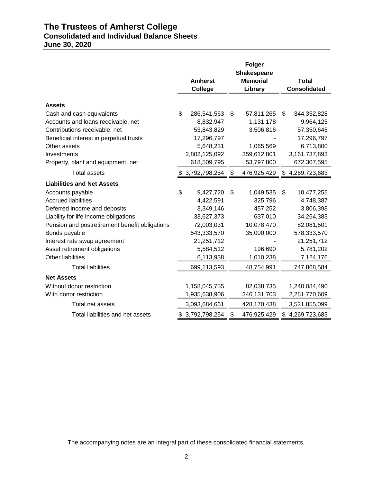# **The Trustees of Amherst College Consolidated and Individual Balance Sheets June 30, 2020**

|                                                                 | <b>Amherst</b><br><b>College</b> | <b>Folger</b><br><b>Shakespeare</b><br><b>Memorial</b><br>Library | <b>Total</b><br><b>Consolidated</b> |
|-----------------------------------------------------------------|----------------------------------|-------------------------------------------------------------------|-------------------------------------|
|                                                                 |                                  |                                                                   |                                     |
| <b>Assets</b>                                                   | \$                               |                                                                   |                                     |
| Cash and cash equivalents<br>Accounts and loans receivable, net | 286,541,563<br>8,832,947         | \$<br>57,811,265<br>1,131,178                                     | \$<br>344,352,828<br>9,964,125      |
| Contributions receivable, net                                   | 53,843,829                       | 3,506,816                                                         | 57,350,645                          |
| Beneficial interest in perpetual trusts                         | 17,296,797                       |                                                                   | 17,296,797                          |
| Other assets                                                    | 5,648,231                        | 1,065,569                                                         | 6,713,800                           |
| Investments                                                     | 2,802,125,092                    | 359,612,801                                                       | 3,161,737,893                       |
| Property, plant and equipment, net                              | 618,509,795                      | 53,797,800                                                        | 672,307,595                         |
| <b>Total assets</b>                                             | \$3,792,798,254                  | \$<br>476,925,429                                                 | \$4,269,723,683                     |
| <b>Liabilities and Net Assets</b>                               |                                  |                                                                   |                                     |
| Accounts payable                                                | \$<br>9,427,720                  | \$<br>1,049,535                                                   | \$<br>10,477,255                    |
| <b>Accrued liabilities</b>                                      | 4,422,591                        | 325,796                                                           | 4,748,387                           |
| Deferred income and deposits                                    | 3,349,146                        | 457,252                                                           | 3,806,398                           |
| Liability for life income obligations                           | 33,627,373                       | 637,010                                                           | 34,264,383                          |
| Pension and postretirement benefit obligations                  | 72,003,031                       | 10,078,470                                                        | 82,081,501                          |
| Bonds payable                                                   | 543,333,570                      | 35,000,000                                                        | 578,333,570                         |
| Interest rate swap agreement                                    | 21,251,712                       |                                                                   | 21,251,712                          |
| Asset retirement obligations                                    | 5,584,512                        | 196,690                                                           | 5,781,202                           |
| Other liabilities                                               | 6,113,938                        | 1,010,238                                                         | 7,124,176                           |
| <b>Total liabilities</b>                                        | 699,113,593                      | 48,754,991                                                        | 747,868,584                         |
| <b>Net Assets</b>                                               |                                  |                                                                   |                                     |
| Without donor restriction                                       | 1,158,045,755                    | 82,038,735                                                        | 1,240,084,490                       |
| With donor restriction                                          | 1,935,638,906                    | 346, 131, 703                                                     | 2,281,770,609                       |
| Total net assets                                                | 3,093,684,661                    | 428,170,438                                                       | 3,521,855,099                       |
| Total liabilities and net assets                                | \$3,792,798,254                  | \$<br>476,925,429                                                 | \$4,269,723,683                     |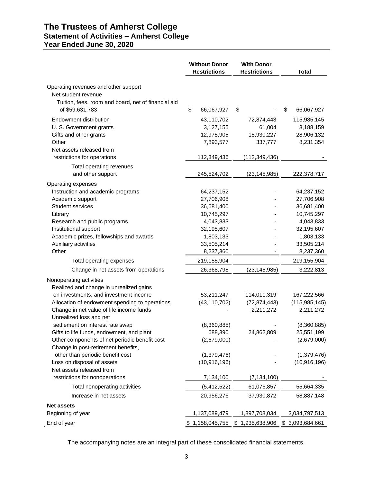# **The Trustees of Amherst College Statement of Activities – Amherst College Year Ended June 30, 2020**

|                                                                                                                       | <b>Without Donor</b><br><b>Restrictions</b>        | <b>With Donor</b><br><b>Restrictions</b>      | <b>Total</b>                                        |
|-----------------------------------------------------------------------------------------------------------------------|----------------------------------------------------|-----------------------------------------------|-----------------------------------------------------|
| Operating revenues and other support<br>Net student revenue<br>Tuition, fees, room and board, net of financial aid    |                                                    |                                               |                                                     |
| of \$59,631,783                                                                                                       | \$<br>66,067,927                                   | \$                                            | \$<br>66,067,927                                    |
| Endowment distribution<br>U. S. Government grants<br>Gifts and other grants<br>Other<br>Net assets released from      | 43,110,702<br>3,127,155<br>12,975,905<br>7,893,577 | 72,874,443<br>61,004<br>15,930,227<br>337,777 | 115,985,145<br>3,188,159<br>28,906,132<br>8,231,354 |
| restrictions for operations                                                                                           | 112,349,436                                        | (112, 349, 436)                               |                                                     |
| Total operating revenues<br>and other support                                                                         | 245,524,702                                        | (23, 145, 985)                                | 222,378,717                                         |
| Operating expenses                                                                                                    |                                                    |                                               |                                                     |
| Instruction and academic programs                                                                                     | 64,237,152                                         |                                               | 64,237,152                                          |
| Academic support                                                                                                      | 27,706,908                                         |                                               | 27,706,908                                          |
| <b>Student services</b>                                                                                               | 36,681,400                                         |                                               | 36,681,400                                          |
| Library                                                                                                               | 10,745,297                                         |                                               | 10,745,297                                          |
| Research and public programs                                                                                          | 4,043,833                                          |                                               | 4,043,833                                           |
| Institutional support<br>Academic prizes, fellowships and awards                                                      | 32,195,607<br>1,803,133                            |                                               | 32,195,607<br>1,803,133                             |
| Auxiliary activities                                                                                                  | 33,505,214                                         |                                               | 33,505,214                                          |
| Other                                                                                                                 | 8,237,360                                          |                                               | 8,237,360                                           |
| Total operating expenses                                                                                              | 219,155,904                                        |                                               | 219,155,904                                         |
|                                                                                                                       |                                                    |                                               |                                                     |
| Change in net assets from operations                                                                                  | 26,368,798                                         | (23, 145, 985)                                | 3,222,813                                           |
| Nonoperating activities<br>Realized and change in unrealized gains                                                    |                                                    |                                               |                                                     |
| on investments, and investment income                                                                                 | 53,211,247                                         | 114,011,319                                   | 167,222,566                                         |
| Allocation of endowment spending to operations<br>Change in net value of life income funds<br>Unrealized loss and net | (43, 110, 702)                                     | (72, 874, 443)<br>2,211,272                   | (115, 985, 145)<br>2,211,272                        |
| settlement on interest rate swap                                                                                      | (8,360,885)                                        |                                               | (8,360,885)                                         |
| Gifts to life funds, endowment, and plant                                                                             | 688,390                                            | 24,862,809                                    | 25,551,199                                          |
| Other components of net periodic benefit cost<br>Change in post-retirement benefits,                                  | (2,679,000)                                        |                                               | (2,679,000)                                         |
| other than periodic benefit cost                                                                                      | (1,379,476)                                        |                                               | (1,379,476)                                         |
| Loss on disposal of assets                                                                                            | (10, 916, 196)                                     |                                               | (10, 916, 196)                                      |
| Net assets released from                                                                                              |                                                    |                                               |                                                     |
| restrictions for nonoperations                                                                                        | 7,134,100                                          | (7, 134, 100)                                 |                                                     |
| Total nonoperating activities                                                                                         | (5,412,522)                                        | 61,076,857                                    | 55,664,335                                          |
| Increase in net assets                                                                                                | 20,956,276                                         | 37,930,872                                    | 58,887,148                                          |
| <b>Net assets</b>                                                                                                     |                                                    |                                               |                                                     |
| Beginning of year                                                                                                     | 1,137,089,479                                      | 1,897,708,034                                 | 3,034,797,513                                       |
| End of year                                                                                                           | \$1,158,045,755                                    | \$1,935,638,906                               | \$ 3,093,684,661                                    |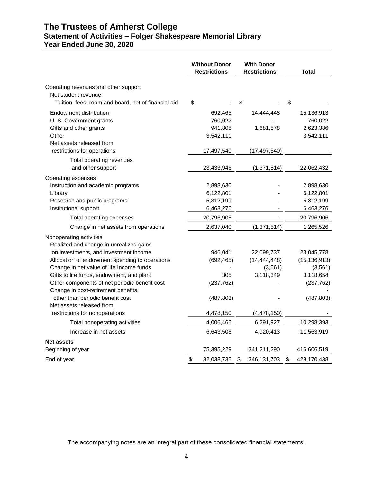# **The Trustees of Amherst College Statement of Activities – Folger Shakespeare Memorial Library Year Ended June 30, 2020**

|                                                                    | <b>Without Donor</b><br><b>Restrictions</b> | <b>With Donor</b><br><b>Restrictions</b> | Total             |
|--------------------------------------------------------------------|---------------------------------------------|------------------------------------------|-------------------|
| Operating revenues and other support<br>Net student revenue        |                                             |                                          |                   |
| Tuition, fees, room and board, net of financial aid                | \$                                          | \$                                       | \$                |
| Endowment distribution                                             | 692,465                                     | 14,444,448                               | 15,136,913        |
| U. S. Government grants                                            | 760,022                                     |                                          | 760,022           |
| Gifts and other grants                                             | 941,808                                     | 1,681,578                                | 2,623,386         |
| Other                                                              | 3,542,111                                   |                                          | 3,542,111         |
| Net assets released from<br>restrictions for operations            |                                             |                                          |                   |
|                                                                    | 17,497,540                                  | (17, 497, 540)                           |                   |
| Total operating revenues                                           |                                             |                                          |                   |
| and other support                                                  | 23,433,946                                  | (1, 371, 514)                            | 22,062,432        |
| Operating expenses                                                 |                                             |                                          |                   |
| Instruction and academic programs                                  | 2,898,630                                   |                                          | 2,898,630         |
| Library                                                            | 6,122,801                                   |                                          | 6,122,801         |
| Research and public programs<br>Institutional support              | 5,312,199<br>6,463,276                      |                                          | 5,312,199         |
|                                                                    |                                             |                                          | 6,463,276         |
| Total operating expenses                                           | 20,796,906                                  |                                          | 20,796,906        |
| Change in net assets from operations                               | 2,637,040                                   | (1, 371, 514)                            | 1,265,526         |
| Nonoperating activities<br>Realized and change in unrealized gains |                                             |                                          |                   |
| on investments, and investment income                              | 946,041                                     | 22,099,737                               | 23,045,778        |
| Allocation of endowment spending to operations                     | (692, 465)                                  | (14, 444, 448)                           | (15, 136, 913)    |
| Change in net value of life Income funds                           |                                             | (3, 561)                                 | (3, 561)          |
| Gifts to life funds, endowment, and plant                          | 305                                         | 3,118,349                                | 3,118,654         |
| Other components of net periodic benefit cost                      | (237, 762)                                  |                                          | (237, 762)        |
| Change in post-retirement benefits,                                |                                             |                                          |                   |
| other than periodic benefit cost<br>Net assets released from       | (487, 803)                                  |                                          | (487, 803)        |
| restrictions for nonoperations                                     | 4,478,150                                   | (4, 478, 150)                            |                   |
|                                                                    |                                             |                                          |                   |
| Total nonoperating activities                                      | 4,006,466                                   | 6,291,927                                | 10,298,393        |
| Increase in net assets                                             | 6,643,506                                   | 4,920,413                                | 11,563,919        |
| <b>Net assets</b>                                                  |                                             |                                          |                   |
| Beginning of year                                                  | 75,395,229                                  | 341,211,290                              | 416,606,519       |
| End of year                                                        | \$<br>82,038,735                            | \$<br>346,131,703                        | \$<br>428,170,438 |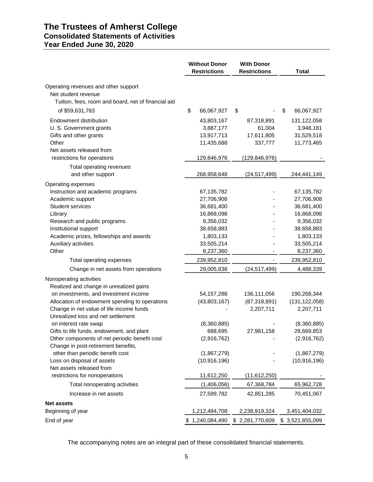# **The Trustees of Amherst College Consolidated Statements of Activities Year Ended June 30, 2020**

|                                                                                                                                   | <b>Without Donor</b><br><b>Restrictions</b>         | <b>With Donor</b><br><b>Restrictions</b>      | <b>Total</b>                                         |
|-----------------------------------------------------------------------------------------------------------------------------------|-----------------------------------------------------|-----------------------------------------------|------------------------------------------------------|
| Operating revenues and other support<br>Net student revenue<br>Tuition, fees, room and board, net of financial aid                |                                                     |                                               |                                                      |
| of \$59,631,783                                                                                                                   | \$<br>66,067,927                                    | \$                                            | \$<br>66,067,927                                     |
| Endowment distribution<br>U. S. Government grants<br>Gifts and other grants<br>Other<br>Net assets released from                  | 43,803,167<br>3,887,177<br>13,917,713<br>11,435,688 | 87,318,891<br>61,004<br>17,611,805<br>337,777 | 131,122,058<br>3,948,181<br>31,529,518<br>11,773,465 |
| restrictions for operations                                                                                                       | 129,846,976                                         | (129,846,976)                                 |                                                      |
| Total operating revenues<br>and other support                                                                                     | 268,958,648                                         | (24, 517, 499)                                | 244,441,149                                          |
| Operating expenses<br>Instruction and academic programs<br>Academic support                                                       | 67, 135, 782<br>27,706,908                          |                                               | 67,135,782<br>27,706,908                             |
| Student services                                                                                                                  | 36,681,400                                          |                                               | 36,681,400                                           |
| Library                                                                                                                           | 16,868,098                                          |                                               | 16,868,098                                           |
| Research and public programs<br>Institutional support                                                                             | 9,356,032<br>38,658,883                             |                                               | 9,356,032<br>38,658,883                              |
| Academic prizes, fellowships and awards                                                                                           | 1,803,133                                           |                                               | 1,803,133                                            |
| Auxiliary activities                                                                                                              | 33,505,214                                          |                                               | 33,505,214                                           |
| Other                                                                                                                             | 8,237,360                                           |                                               | 8,237,360                                            |
| Total operating expenses                                                                                                          | 239,952,810                                         |                                               | 239,952,810                                          |
| Change in net assets from operations                                                                                              | 29,005,838                                          | (24, 517, 499)                                | 4,488,339                                            |
| Nonoperating activities<br>Realized and change in unrealized gains                                                                |                                                     |                                               |                                                      |
| on investments, and investment income                                                                                             | 54, 157, 288                                        | 136,111,056                                   | 190,268,344                                          |
| Allocation of endowment spending to operations<br>Change in net value of life income funds                                        | (43,803,167)                                        | (87, 318, 891)<br>2,207,711                   | (131, 122, 058)<br>2,207,711                         |
| Unrealized loss and net settlement<br>on interest rate swap                                                                       | (8,360,885)                                         |                                               | (8,360,885)                                          |
| Gifts to life funds, endowment, and plant<br>Other components of net periodic benefit cost<br>Change in post-retirement benefits, | 688,695<br>(2,916,762)                              | 27,981,158                                    | 28,669,853<br>(2,916,762)                            |
| other than periodic benefit cost<br>Loss on disposal of assets<br>Net assets released from                                        | (1,867,279)<br>(10, 916, 196)                       |                                               | (1,867,279)<br>(10, 916, 196)                        |
| restrictions for nonoperations                                                                                                    | 11,612,250                                          | (11,612,250)                                  |                                                      |
| Total nonoperating activities                                                                                                     | (1,406,056)                                         | 67,368,784                                    | 65,962,728                                           |
| Increase in net assets                                                                                                            | 27,599,782                                          | 42,851,285                                    | 70,451,067                                           |
| <b>Net assets</b>                                                                                                                 |                                                     |                                               |                                                      |
| Beginning of year                                                                                                                 | 1,212,484,708                                       | 2,238,919,324                                 | 3,451,404,032                                        |
| End of year                                                                                                                       | \$1,240,084,490                                     | \$2,281,770,609                               | \$3,521,855,099                                      |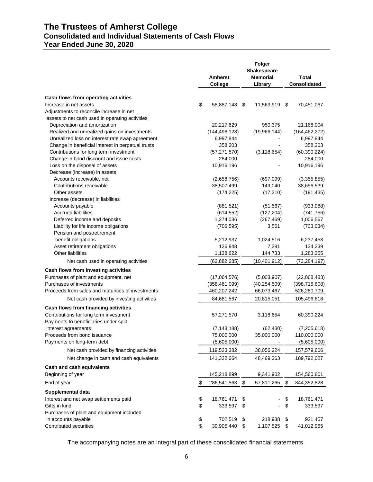# **The Trustees of Amherst College Consolidated and Individual Statements of Cash Flows Year Ended June 30, 2020**

|                                                   | <b>Amherst</b><br>College | Folger<br><b>Shakespeare</b><br><b>Memorial</b><br>Library | <b>Total</b><br><b>Consolidated</b> |
|---------------------------------------------------|---------------------------|------------------------------------------------------------|-------------------------------------|
| Cash flows from operating activities              |                           |                                                            |                                     |
| Increase in net assets                            | \$<br>58,887,148          | \$<br>11,563,919 \$                                        | 70,451,067                          |
| Adjustments to reconcile increase in net          |                           |                                                            |                                     |
| assets to net cash used in operating activities   |                           |                                                            |                                     |
| Depreciation and amortization                     | 20,217,629                | 950,375                                                    | 21,168,004                          |
| Realized and unrealized gains on investments      | (144, 496, 128)           | (19,966,144)                                               | (164, 462, 272)                     |
| Unrealized loss on interest rate swap agreement   | 6,997,844                 |                                                            | 6,997,844                           |
| Change in beneficial interest in perpetual trusts | 358,203                   |                                                            | 358,203                             |
| Contributions for long term investment            | (57, 271, 570)            | (3, 118, 654)                                              | (60, 390, 224)                      |
| Change in bond discount and issue costs           | 284,000                   |                                                            | 284,000                             |
| Loss on the disposal of assets                    | 10,916,196                |                                                            | 10,916,196                          |
| Decrease (increase) in assets                     |                           |                                                            |                                     |
| Accounts receivable, net                          | (2,658,756)               | (697,099)                                                  | (3,355,855)                         |
| Contributions receivable                          | 38,507,499                | 149,040                                                    | 38,656,539                          |
| Other assets                                      | (174, 225)                | (17, 210)                                                  | (191, 435)                          |
| Increase (decrease) in liabilities                |                           |                                                            |                                     |
| Accounts payable                                  | (881, 521)                | (51, 567)                                                  | (933,088)                           |
| <b>Accrued liabilities</b>                        | (614, 552)                | (127, 204)                                                 | (741, 756)                          |
| Deferred income and deposits                      | 1,274,036                 | (267, 469)                                                 | 1,006,567                           |
| Liability for life income obligations             | (706, 595)                | 3,561                                                      | (703, 034)                          |
| Pension and postretirement                        |                           |                                                            |                                     |
| benefit obligations                               | 5,212,937                 | 1,024,516                                                  | 6,237,453                           |
| Asset retirement obligations                      | 126,948                   | 7,291                                                      | 134,239                             |
| Other liabilities                                 | 1,138,622                 | 144,733                                                    | 1,283,355                           |
| Net cash used in operating activities             | (62, 882, 285)            | (10, 401, 912)                                             | (73, 284, 197)                      |
| Cash flows from investing activities              |                           |                                                            |                                     |
| Purchases of plant and equipment, net             | (17,064,576)              | (5,003,907)                                                | (22,068,483)                        |
| Purchases of investments                          | (358, 461, 099)           | (40, 254, 509)                                             | (398, 715, 608)                     |
| Proceeds from sales and maturities of investments | 460,207,242               | 66,073,467                                                 | 526,280,709                         |
| Net cash provided by investing activities         | 84,681,567                | 20,815,051                                                 | 105,496,618                         |
| Cash flows from financing activities              |                           |                                                            |                                     |
| Contributions for long term investment            | 57,271,570                | 3,118,654                                                  | 60,390,224                          |
| Payments to beneficiaries under split             |                           |                                                            |                                     |
| interest agreements                               | (7, 143, 188)             | (62, 430)                                                  | (7,205,618)                         |
| Proceeds from bond issuance                       | 75,000,000                | 35,000,000                                                 | 110,000,000                         |
| Payments on long-term debt                        | (5,605,000)               |                                                            | (5,605,000)                         |
| Net cash provided by financing activities         | 119,523,382               | 38,056,224                                                 | 157,579,606                         |
| Net change in cash and cash equivalents           | 141,322,664               | 48,469,363                                                 | 189,792,027                         |
|                                                   |                           |                                                            |                                     |
| Cash and cash equivalents                         |                           |                                                            |                                     |
| Beginning of year                                 | 145,218,899               | 9,341,902                                                  | 154,560,801                         |
| End of year                                       | \$<br>286,541,563         | \$<br>57,811,265                                           | \$<br>344,352,828                   |
| Supplemental data                                 |                           |                                                            |                                     |
| Interest and net swap settlements paid            | \$<br>18,761,471          | \$                                                         | \$<br>18,761,471                    |
| Gifts in kind                                     | \$<br>333,597             | \$                                                         | \$<br>333,597                       |
| Purchases of plant and equipment included         |                           |                                                            |                                     |
| in accounts payable                               | \$<br>702,519             | \$<br>218,938                                              | \$<br>921,457                       |
| Contributed securities                            | \$<br>39,905,440          | \$<br>1,107,525                                            | \$<br>41,012,965                    |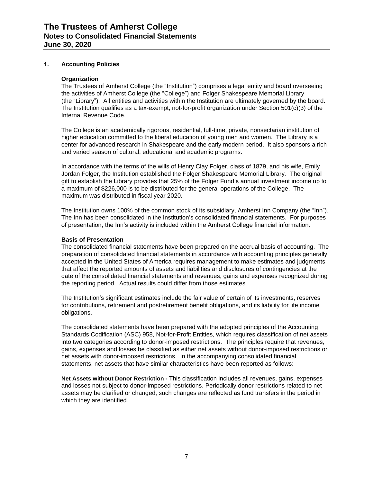# **1. Accounting Policies**

#### **Organization**

The Trustees of Amherst College (the "Institution") comprises a legal entity and board overseeing the activities of Amherst College (the "College") and Folger Shakespeare Memorial Library (the "Library"). All entities and activities within the Institution are ultimately governed by the board. The Institution qualifies as a tax-exempt, not-for-profit organization under Section 501(c)(3) of the Internal Revenue Code.

The College is an academically rigorous, residential, full-time, private, nonsectarian institution of higher education committed to the liberal education of young men and women. The Library is a center for advanced research in Shakespeare and the early modern period. It also sponsors a rich and varied season of cultural, educational and academic programs.

In accordance with the terms of the wills of Henry Clay Folger, class of 1879, and his wife, Emily Jordan Folger, the Institution established the Folger Shakespeare Memorial Library. The original gift to establish the Library provides that 25% of the Folger Fund's annual investment income up to a maximum of \$226,000 is to be distributed for the general operations of the College. The maximum was distributed in fiscal year 2020.

The Institution owns 100% of the common stock of its subsidiary, Amherst Inn Company (the "Inn"). The Inn has been consolidated in the Institution's consolidated financial statements. For purposes of presentation, the Inn's activity is included within the Amherst College financial information.

#### **Basis of Presentation**

The consolidated financial statements have been prepared on the accrual basis of accounting. The preparation of consolidated financial statements in accordance with accounting principles generally accepted in the United States of America requires management to make estimates and judgments that affect the reported amounts of assets and liabilities and disclosures of contingencies at the date of the consolidated financial statements and revenues, gains and expenses recognized during the reporting period. Actual results could differ from those estimates.

The Institution's significant estimates include the fair value of certain of its investments, reserves for contributions, retirement and postretirement benefit obligations, and its liability for life income obligations.

The consolidated statements have been prepared with the adopted principles of the Accounting Standards Codification (ASC) 958, Not-for-Profit Entities, which requires classification of net assets into two categories according to donor-imposed restrictions. The principles require that revenues, gains, expenses and losses be classified as either net assets without donor-imposed restrictions or net assets with donor-imposed restrictions. In the accompanying consolidated financial statements, net assets that have similar characteristics have been reported as follows:

**Net Assets without Donor Restriction -** This classification includes all revenues, gains, expenses and losses not subject to donor-imposed restrictions. Periodically donor restrictions related to net assets may be clarified or changed; such changes are reflected as fund transfers in the period in which they are identified.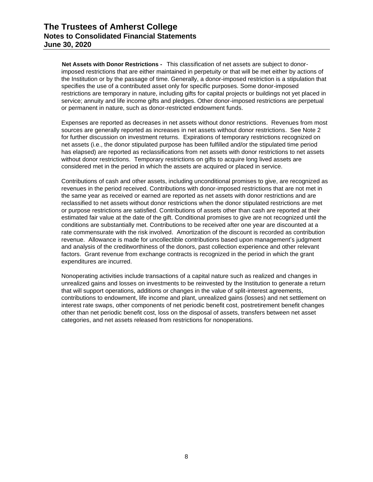**Net Assets with Donor Restrictions -** This classification of net assets are subject to donorimposed restrictions that are either maintained in perpetuity or that will be met either by actions of the Institution or by the passage of time. Generally, a donor-imposed restriction is a stipulation that specifies the use of a contributed asset only for specific purposes. Some donor-imposed restrictions are temporary in nature, including gifts for capital projects or buildings not yet placed in service; annuity and life income gifts and pledges. Other donor-imposed restrictions are perpetual or permanent in nature, such as donor-restricted endowment funds.

Expenses are reported as decreases in net assets without donor restrictions. Revenues from most sources are generally reported as increases in net assets without donor restrictions. See Note 2 for further discussion on investment returns. Expirations of temporary restrictions recognized on net assets (i.e., the donor stipulated purpose has been fulfilled and/or the stipulated time period has elapsed) are reported as reclassifications from net assets with donor restrictions to net assets without donor restrictions. Temporary restrictions on gifts to acquire long lived assets are considered met in the period in which the assets are acquired or placed in service.

Contributions of cash and other assets, including unconditional promises to give, are recognized as revenues in the period received. Contributions with donor-imposed restrictions that are not met in the same year as received or earned are reported as net assets with donor restrictions and are reclassified to net assets without donor restrictions when the donor stipulated restrictions are met or purpose restrictions are satisfied. Contributions of assets other than cash are reported at their estimated fair value at the date of the gift. Conditional promises to give are not recognized until the conditions are substantially met. Contributions to be received after one year are discounted at a rate commensurate with the risk involved. Amortization of the discount is recorded as contribution revenue. Allowance is made for uncollectible contributions based upon management's judgment and analysis of the creditworthiness of the donors, past collection experience and other relevant factors. Grant revenue from exchange contracts is recognized in the period in which the grant expenditures are incurred.

Nonoperating activities include transactions of a capital nature such as realized and changes in unrealized gains and losses on investments to be reinvested by the Institution to generate a return that will support operations, additions or changes in the value of split-interest agreements, contributions to endowment, life income and plant, unrealized gains (losses) and net settlement on interest rate swaps, other components of net periodic benefit cost, postretirement benefit changes other than net periodic benefit cost, loss on the disposal of assets, transfers between net asset categories, and net assets released from restrictions for nonoperations.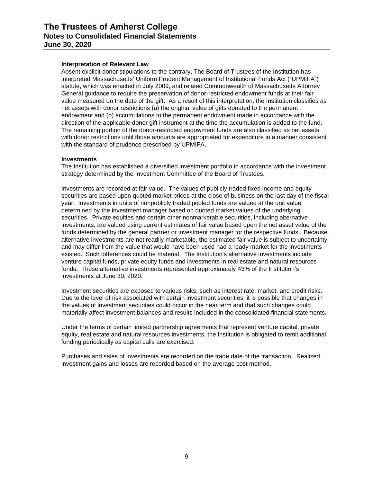#### **Interpretation of Relevant Law**

Absent explicit donor stipulations to the contrary, The Board of Trustees of the Institution has interpreted Massachusetts' Uniform Prudent Management of Institutional Funds Act ("UPMIFA") statute, which was enacted in July 2009, and related Commonwealth of Massachusetts Attorney General guidance to require the preservation of donor-restricted endowment funds at their fair value measured on the date of the gift. As a result of this interpretation, the Institution classifies as net assets with donor restrictions (a) the original value of gifts donated to the permanent endowment and (b) accumulations to the permanent endowment made in accordance with the direction of the applicable donor gift instrument at the time the accumulation is added to the fund. The remaining portion of the donor-restricted endowment funds are also classified as net assets with donor restrictions until those amounts are appropriated for expenditure in a manner consistent with the standard of prudence prescribed by UPMIFA.

#### **Investments**

The Institution has established a diversified investment portfolio in accordance with the investment strategy determined by the Investment Committee of the Board of Trustees.

Investments are recorded at fair value. The values of publicly traded fixed income and equity securities are based upon quoted market prices at the close of business on the last day of the fiscal year. Investments in units of nonpublicly traded pooled funds are valued at the unit value determined by the investment manager based on quoted market values of the underlying securities. Private equities and certain other nonmarketable securities, including alternative investments, are valued using current estimates of fair value based upon the net asset value of the funds determined by the general partner or investment manager for the respective funds. Because alternative investments are not readily marketable, the estimated fair value is subject to uncertainty and may differ from the value that would have been used had a ready market for the investments existed. Such differences could be material. The Institution's alternative investments include venture capital funds, private equity funds and investments in real estate and natural resources funds. These alternative investments represented approximately 43% of the Institution's investments at June 30, 2020.

Investment securities are exposed to various risks, such as interest rate, market, and credit risks. Due to the level of risk associated with certain investment securities, it is possible that changes in the values of investment securities could occur in the near term and that such changes could materially affect investment balances and results included in the consolidated financial statements.

Under the terms of certain limited partnership agreements that represent venture capital, private equity, real estate and natural resources investments, the Institution is obligated to remit additional funding periodically as capital calls are exercised.

Purchases and sales of investments are recorded on the trade date of the transaction. Realized investment gains and losses are recorded based on the average cost method.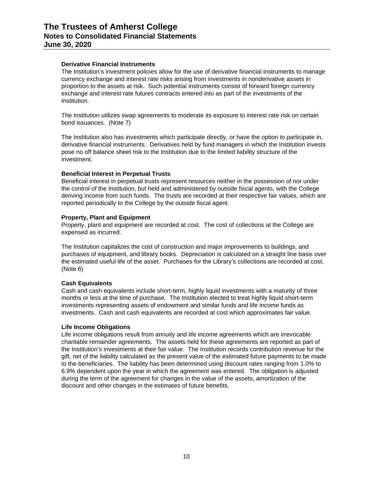## **Derivative Financial Instruments**

The Institution's investment policies allow for the use of derivative financial instruments to manage currency exchange and interest rate risks arising from investments in nonderivative assets in proportion to the assets at risk. Such potential instruments consist of forward foreign currency exchange and interest rate futures contracts entered into as part of the investments of the Institution.

The Institution utilizes swap agreements to moderate its exposure to interest rate risk on certain bond issuances. (Note 7)

The Institution also has investments which participate directly, or have the option to participate in, derivative financial instruments. Derivatives held by fund managers in which the Institution invests pose no off balance sheet risk to the Institution due to the limited liability structure of the investment.

#### **Beneficial Interest in Perpetual Trusts**

Beneficial interest in perpetual trusts represent resources neither in the possession of nor under the control of the Institution, but held and administered by outside fiscal agents, with the College deriving income from such funds. The trusts are recorded at their respective fair values, which are reported periodically to the College by the outside fiscal agent.

## **Property, Plant and Equipment**

Property, plant and equipment are recorded at cost. The cost of collections at the College are expensed as incurred.

The Institution capitalizes the cost of construction and major improvements to buildings, and purchases of equipment, and library books. Depreciation is calculated on a straight line basis over the estimated useful life of the asset. Purchases for the Library's collections are recorded at cost. (Note 6)

#### **Cash Equivalents**

Cash and cash equivalents include short-term, highly liquid investments with a maturity of three months or less at the time of purchase. The Institution elected to treat highly liquid short-term investments representing assets of endowment and similar funds and life income funds as investments. Cash and cash equivalents are recorded at cost which approximates fair value.

#### **Life Income Obligations**

Life income obligations result from annuity and life income agreements which are irrevocable charitable remainder agreements. The assets held for these agreements are reported as part of the Institution's investments at their fair value. The Institution records contribution revenue for the gift, net of the liability calculated as the present value of the estimated future payments to be made to the beneficiaries. The liability has been determined using discount rates ranging from 1.0% to 6.9% dependent upon the year in which the agreement was entered. The obligation is adjusted during the term of the agreement for changes in the value of the assets, amortization of the discount and other changes in the estimates of future benefits.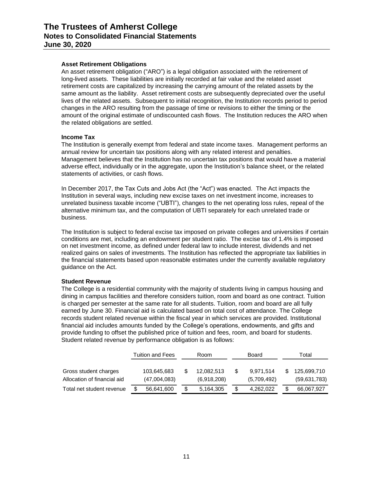#### **Asset Retirement Obligations**

An asset retirement obligation ("ARO") is a legal obligation associated with the retirement of long-lived assets. These liabilities are initially recorded at fair value and the related asset retirement costs are capitalized by increasing the carrying amount of the related assets by the same amount as the liability. Asset retirement costs are subsequently depreciated over the useful lives of the related assets. Subsequent to initial recognition, the Institution records period to period changes in the ARO resulting from the passage of time or revisions to either the timing or the amount of the original estimate of undiscounted cash flows. The Institution reduces the ARO when the related obligations are settled.

# **Income Tax**

The Institution is generally exempt from federal and state income taxes. Management performs an annual review for uncertain tax positions along with any related interest and penalties. Management believes that the Institution has no uncertain tax positions that would have a material adverse effect, individually or in the aggregate, upon the Institution's balance sheet, or the related statements of activities, or cash flows.

In December 2017, the Tax Cuts and Jobs Act (the "Act") was enacted. The Act impacts the Institution in several ways, including new excise taxes on net investment income, increases to unrelated business taxable income ("UBTI"), changes to the net operating loss rules, repeal of the alternative minimum tax, and the computation of UBTI separately for each unrelated trade or business.

The Institution is subject to federal excise tax imposed on private colleges and universities if certain conditions are met, including an endowment per student ratio. The excise tax of 1.4% is imposed on net investment income, as defined under federal law to include interest, dividends and net realized gains on sales of investments. The Institution has reflected the appropriate tax liabilities in the financial statements based upon reasonable estimates under the currently available regulatory guidance on the Act.

#### **Student Revenue**

The College is a residential community with the majority of students living in campus housing and dining in campus facilities and therefore considers tuition, room and board as one contract. Tuition is charged per semester at the same rate for all students. Tuition, room and board are all fully earned by June 30. Financial aid is calculated based on total cost of attendance. The College records student related revenue within the fiscal year in which services are provided. Institutional financial aid includes amounts funded by the College's operations, endowments, and gifts and provide funding to offset the published price of tuition and fees, room, and board for students. Student related revenue by performance obligation is as follows:

|                             | Tuition and Fees |              | Room            | Board       | Total        |
|-----------------------------|------------------|--------------|-----------------|-------------|--------------|
|                             |                  |              |                 |             |              |
| Gross student charges       |                  | 103,645,683  | 12.082.513      | 9.971.514   | 125.699.710  |
| Allocation of financial aid |                  | (47,004,083) | (6,918,208)     | (5,709,492) | (59,631,783) |
| Total net student revenue   |                  | 56,641,600   | \$<br>5.164.305 | 4.262.022   | 66.067.927   |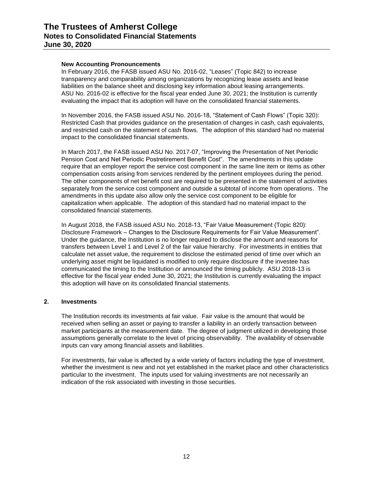# **New Accounting Pronouncements**

In February 2016, the FASB issued ASU No. 2016-02, "Leases" (Topic 842) to increase transparency and comparability among organizations by recognizing lease assets and lease liabilities on the balance sheet and disclosing key information about leasing arrangements. ASU No. 2016-02 is effective for the fiscal year ended June 30, 2021; the Institution is currently evaluating the impact that its adoption will have on the consolidated financial statements.

In November 2016, the FASB issued ASU No. 2016-18, "Statement of Cash Flows" (Topic 320): Restricted Cash that provides guidance on the presentation of changes in cash, cash equivalents, and restricted cash on the statement of cash flows. The adoption of this standard had no material impact to the consolidated financial statements.

In March 2017, the FASB issued ASU No. 2017-07, "Improving the Presentation of Net Periodic Pension Cost and Net Periodic Postretirement Benefit Cost". The amendments in this update require that an employer report the service cost component in the same line item or items as other compensation costs arising from services rendered by the pertinent employees during the period. The other components of net benefit cost are required to be presented in the statement of activities separately from the service cost component and outside a subtotal of income from operations. The amendments in this update also allow only the service cost component to be eligible for capitalization when applicable. The adoption of this standard had no material impact to the consolidated financial statements.

In August 2018, the FASB issued ASU No. 2018-13, "Fair Value Measurement (Topic 820): Disclosure Framework – Changes to the Disclosure Requirements for Fair Value Measurement". Under the guidance, the Institution is no longer required to disclose the amount and reasons for transfers between Level 1 and Level 2 of the fair value hierarchy. For investments in entities that calculate net asset value, the requirement to disclose the estimated period of time over which an underlying asset might be liquidated is modified to only require disclosure if the investee has communicated the timing to the Institution or announced the timing publicly. ASU 2018-13 is effective for the fiscal year ended June 30, 2021; the Institution is currently evaluating the impact this adoption will have on its consolidated financial statements.

# **2. Investments**

The Institution records its investments at fair value. Fair value is the amount that would be received when selling an asset or paying to transfer a liability in an orderly transaction between market participants at the measurement date. The degree of judgment utilized in developing those assumptions generally correlate to the level of pricing observability. The availability of observable inputs can vary among financial assets and liabilities.

For investments, fair value is affected by a wide variety of factors including the type of investment, whether the investment is new and not yet established in the market place and other characteristics particular to the investment. The inputs used for valuing investments are not necessarily an indication of the risk associated with investing in those securities.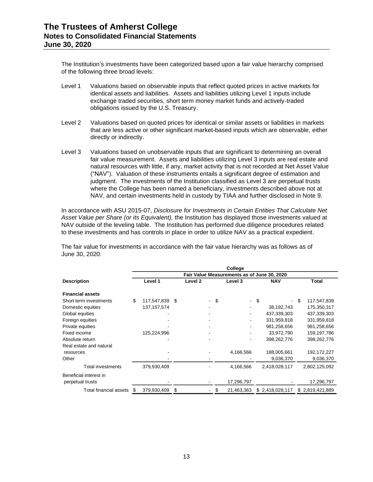The Institution's investments have been categorized based upon a fair value hierarchy comprised of the following three broad levels:

- Level 1 Valuations based on observable inputs that reflect quoted prices in active markets for identical assets and liabilities. Assets and liabilities utilizing Level 1 inputs include exchange traded securities, short term money market funds and actively-traded obligations issued by the U.S. Treasury.
- Level 2 Valuations based on quoted prices for identical or similar assets or liabilities in markets that are less active or other significant market-based inputs which are observable, either directly or indirectly.
- Level 3 Valuations based on unobservable inputs that are significant to determining an overall fair value measurement. Assets and liabilities utilizing Level 3 inputs are real estate and natural resources with little, if any, market activity that is not recorded at Net Asset Value ("NAV"). Valuation of these instruments entails a significant degree of estimation and judgment. The investments of the Institution classified as Level 3 are perpetual trusts where the College has been named a beneficiary, investments described above not at NAV, and certain investments held in custody by TIAA and further disclosed in Note 9.

In accordance with ASU 2015-07, *Disclosure for Investments in Certain Entities That Calculate Net Asset Value per Share (or its Equivalent),* the Institution has displayed those investments valued at NAV outside of the leveling table. The Institution has performed due diligence procedures related to these investments and has controls in place in order to utilize NAV as a practical expedient.

The fair value for investments in accordance with the fair value hierarchy was as follows as of June 30, 2020:

|                         | College                                     |               |    |                    |  |     |            |      |                 |    |                 |  |  |  |  |
|-------------------------|---------------------------------------------|---------------|----|--------------------|--|-----|------------|------|-----------------|----|-----------------|--|--|--|--|
|                         | Fair Value Measurements as of June 30, 2020 |               |    |                    |  |     |            |      |                 |    |                 |  |  |  |  |
| <b>Description</b>      | Level 1                                     |               |    | Level <sub>2</sub> |  |     | Level 3    |      | <b>NAV</b>      |    | Total           |  |  |  |  |
| <b>Financial assets</b> |                                             |               |    |                    |  |     |            |      |                 |    |                 |  |  |  |  |
| Short term investments  | \$                                          | 117,547,839   | \$ |                    |  | -\$ |            | - \$ | ۰               | \$ | 117,547,839     |  |  |  |  |
| Domestic equities       |                                             | 137, 157, 574 |    |                    |  |     |            |      | 38,192,743      |    | 175,350,317     |  |  |  |  |
| Global equities         |                                             |               |    |                    |  |     | ۰          |      | 437,339,303     |    | 437,339,303     |  |  |  |  |
| Foreign equities        |                                             |               |    |                    |  |     |            |      | 331,959,818     |    | 331,959,818     |  |  |  |  |
| Private equities        |                                             |               |    |                    |  |     |            |      | 981,258,656     |    | 981,258,656     |  |  |  |  |
| Fixed income            |                                             | 125,224,996   |    |                    |  |     |            |      | 33,972,790      |    | 159,197,786     |  |  |  |  |
| Absolute return         |                                             |               |    |                    |  |     |            |      | 398,262,776     |    | 398,262,776     |  |  |  |  |
| Real estate and natural |                                             |               |    |                    |  |     |            |      |                 |    |                 |  |  |  |  |
| resources               |                                             |               |    |                    |  |     | 4,166,566  |      | 188,005,661     |    | 192,172,227     |  |  |  |  |
| Other                   |                                             |               |    |                    |  |     |            |      | 9,036,370       |    | 9,036,370       |  |  |  |  |
| Total investments       |                                             | 379,930,409   |    |                    |  |     | 4,166,566  |      | 2,418,028,117   |    | 2,802,125,092   |  |  |  |  |
| Beneficial interest in  |                                             |               |    |                    |  |     |            |      |                 |    |                 |  |  |  |  |
| perpetual trusts        |                                             |               |    |                    |  |     | 17,296,797 |      |                 |    | 17,296,797      |  |  |  |  |
| Total financial assets  | S                                           | 379,930,409   | \$ |                    |  |     | 21,463,363 |      | \$2,418,028,117 |    | \$2,819,421,889 |  |  |  |  |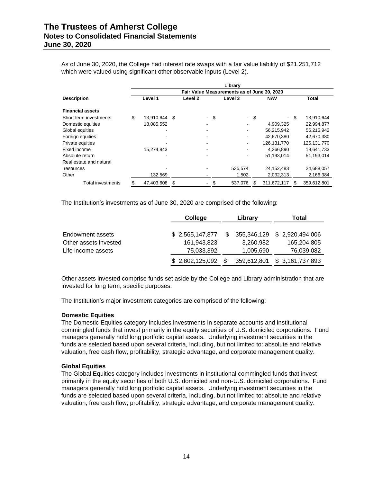As of June 30, 2020, the College had interest rate swaps with a fair value liability of \$21,251,712 which were valued using significant other observable inputs (Level 2).

|                         |                                             |               |      |                          |    | Library |      |              |      |               |  |  |  |  |  |
|-------------------------|---------------------------------------------|---------------|------|--------------------------|----|---------|------|--------------|------|---------------|--|--|--|--|--|
|                         | Fair Value Measurements as of June 30, 2020 |               |      |                          |    |         |      |              |      |               |  |  |  |  |  |
| <b>Description</b>      | Level 1                                     |               |      | Level 2                  |    | Level 3 |      | <b>NAV</b>   |      | <b>Total</b>  |  |  |  |  |  |
| <b>Financial assets</b> |                                             |               |      |                          |    |         |      |              |      |               |  |  |  |  |  |
| Short term investments  | \$                                          | 13,910,644 \$ |      | $\overline{\phantom{a}}$ | \$ |         | - \$ |              | - \$ | 13.910.644    |  |  |  |  |  |
| Domestic equities       |                                             | 18,085,552    |      |                          |    |         |      | 4,909,325    |      | 22.994.877    |  |  |  |  |  |
| Global equities         |                                             |               |      |                          |    |         |      | 56,215,942   |      | 56,215,942    |  |  |  |  |  |
| Foreign equities        |                                             |               |      |                          |    |         |      | 42.670.380   |      | 42,670,380    |  |  |  |  |  |
| Private equities        |                                             |               |      |                          |    |         |      | 126,131,770  |      | 126, 131, 770 |  |  |  |  |  |
| Fixed income            |                                             | 15,274,843    |      |                          |    |         |      | 4,366,890    |      | 19.641.733    |  |  |  |  |  |
| Absolute return         |                                             |               |      |                          |    |         |      | 51.193.014   |      | 51,193,014    |  |  |  |  |  |
| Real estate and natural |                                             |               |      |                          |    |         |      |              |      |               |  |  |  |  |  |
| resources               |                                             |               |      |                          |    | 535.574 |      | 24, 152, 483 |      | 24,688,057    |  |  |  |  |  |
| Other                   |                                             | 132,569       |      |                          |    | 1,502   |      | 2,032,313    |      | 2,166,384     |  |  |  |  |  |
| Total investments       |                                             | 47,403,608    | - \$ |                          | \$ | 537,076 | S    | 311,672,117  | S    | 359,612,801   |  |  |  |  |  |

The Institution's investments as of June 30, 2020 are comprised of the following:

|                       | College         |     | Library     | Total                        |
|-----------------------|-----------------|-----|-------------|------------------------------|
| Endowment assets      | \$2,565,147,877 | SS. |             | 355,346,129 \$ 2,920,494,006 |
| Other assets invested | 161,943,823     |     | 3,260,982   | 165,204,805                  |
| Life income assets    | 75,033,392      |     | 1,005,690   | 76,039,082                   |
|                       | \$2,802,125,092 |     | 359,612,801 | \$3,161,737,893              |

Other assets invested comprise funds set aside by the College and Library administration that are invested for long term, specific purposes.

The Institution's major investment categories are comprised of the following:

## **Domestic Equities**

The Domestic Equities category includes investments in separate accounts and institutional commingled funds that invest primarily in the equity securities of U.S. domiciled corporations. Fund managers generally hold long portfolio capital assets. Underlying investment securities in the funds are selected based upon several criteria, including, but not limited to: absolute and relative valuation, free cash flow, profitability, strategic advantage, and corporate management quality.

## **Global Equities**

The Global Equities category includes investments in institutional commingled funds that invest primarily in the equity securities of both U.S. domiciled and non-U.S. domiciled corporations. Fund managers generally hold long portfolio capital assets. Underlying investment securities in the funds are selected based upon several criteria, including, but not limited to: absolute and relative valuation, free cash flow, profitability, strategic advantage, and corporate management quality.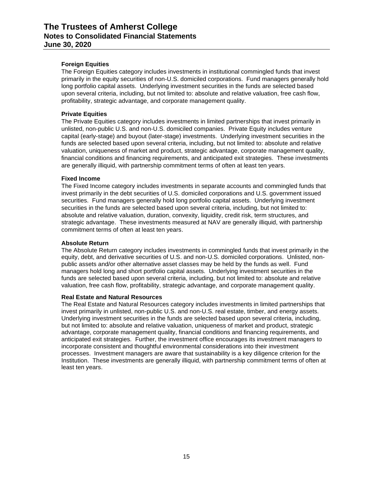# **Foreign Equities**

The Foreign Equities category includes investments in institutional commingled funds that invest primarily in the equity securities of non-U.S. domiciled corporations. Fund managers generally hold long portfolio capital assets. Underlying investment securities in the funds are selected based upon several criteria, including, but not limited to: absolute and relative valuation, free cash flow, profitability, strategic advantage, and corporate management quality.

# **Private Equities**

The Private Equities category includes investments in limited partnerships that invest primarily in unlisted, non-public U.S. and non-U.S. domiciled companies. Private Equity includes venture capital (early-stage) and buyout (later-stage) investments. Underlying investment securities in the funds are selected based upon several criteria, including, but not limited to: absolute and relative valuation, uniqueness of market and product, strategic advantage, corporate management quality, financial conditions and financing requirements, and anticipated exit strategies. These investments are generally illiquid, with partnership commitment terms of often at least ten years.

## **Fixed Income**

The Fixed Income category includes investments in separate accounts and commingled funds that invest primarily in the debt securities of U.S. domiciled corporations and U.S. government issued securities. Fund managers generally hold long portfolio capital assets. Underlying investment securities in the funds are selected based upon several criteria, including, but not limited to: absolute and relative valuation, duration, convexity, liquidity, credit risk, term structures, and strategic advantage. These investments measured at NAV are generally illiquid, with partnership commitment terms of often at least ten years.

## **Absolute Return**

The Absolute Return category includes investments in commingled funds that invest primarily in the equity, debt, and derivative securities of U.S. and non-U.S. domiciled corporations. Unlisted, nonpublic assets and/or other alternative asset classes may be held by the funds as well. Fund managers hold long and short portfolio capital assets. Underlying investment securities in the funds are selected based upon several criteria, including, but not limited to: absolute and relative valuation, free cash flow, profitability, strategic advantage, and corporate management quality.

## **Real Estate and Natural Resources**

The Real Estate and Natural Resources category includes investments in limited partnerships that invest primarily in unlisted, non-public U.S. and non-U.S. real estate, timber, and energy assets. Underlying investment securities in the funds are selected based upon several criteria, including, but not limited to: absolute and relative valuation, uniqueness of market and product, strategic advantage, corporate management quality, financial conditions and financing requirements, and anticipated exit strategies. Further, the investment office encourages its investment managers to incorporate consistent and thoughtful environmental considerations into their investment processes. Investment managers are aware that sustainability is a key diligence criterion for the Institution. These investments are generally illiquid, with partnership commitment terms of often at least ten years.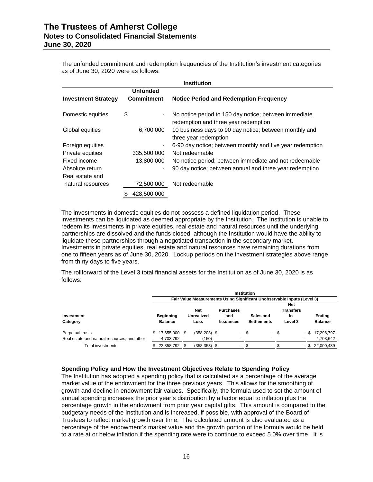The unfunded commitment and redemption frequencies of the Institution's investment categories as of June 30, 2020 were as follows:

|                            | <b>Institution</b>   |                                                                                               |  |  |  |  |  |  |  |  |  |  |
|----------------------------|----------------------|-----------------------------------------------------------------------------------------------|--|--|--|--|--|--|--|--|--|--|
|                            | <b>Unfunded</b>      |                                                                                               |  |  |  |  |  |  |  |  |  |  |
| <b>Investment Strategy</b> | <b>Commitment</b>    | <b>Notice Period and Redemption Frequency</b>                                                 |  |  |  |  |  |  |  |  |  |  |
| Domestic equities          | \$<br>$\blacksquare$ | No notice period to 150 day notice; between immediate<br>redemption and three year redemption |  |  |  |  |  |  |  |  |  |  |
| Global equities            | 6,700,000            | 10 business days to 90 day notice; between monthly and<br>three year redemption               |  |  |  |  |  |  |  |  |  |  |
| Foreign equities           | $\blacksquare$       | 6-90 day notice; between monthly and five year redemption                                     |  |  |  |  |  |  |  |  |  |  |
| Private equities           | 335,500,000          | Not redeemable                                                                                |  |  |  |  |  |  |  |  |  |  |
| Fixed income               | 13,800,000           | No notice period; between immediate and not redeemable                                        |  |  |  |  |  |  |  |  |  |  |
| Absolute return            | $\blacksquare$       | 90 day notice; between annual and three year redemption                                       |  |  |  |  |  |  |  |  |  |  |
| Real estate and            |                      |                                                                                               |  |  |  |  |  |  |  |  |  |  |
| natural resources          | 72,500,000           | Not redeemable                                                                                |  |  |  |  |  |  |  |  |  |  |
|                            | 428,500,000          |                                                                                               |  |  |  |  |  |  |  |  |  |  |

The investments in domestic equities do not possess a defined liquidation period. These investments can be liquidated as deemed appropriate by the Institution. The Institution is unable to redeem its investments in private equities, real estate and natural resources until the underlying partnerships are dissolved and the funds closed, although the Institution would have the ability to liquidate these partnerships through a negotiated transaction in the secondary market. Investments in private equities, real estate and natural resources have remaining durations from one to fifteen years as of June 30, 2020. Lockup periods on the investment strategies above range from thirty days to five years.

The rollforward of the Level 3 total financial assets for the Institution as of June 30, 2020 is as follows:

|                                              | <b>Institution</b> |                  |     |                   |  |                  |      |                                                                         |      |                  |   |      |                |  |
|----------------------------------------------|--------------------|------------------|-----|-------------------|--|------------------|------|-------------------------------------------------------------------------|------|------------------|---|------|----------------|--|
|                                              |                    |                  |     |                   |  |                  |      | Fair Value Measurements Using Significant Unobservable Inputs (Level 3) |      |                  |   |      |                |  |
|                                              |                    |                  |     |                   |  |                  |      |                                                                         |      | Net              |   |      |                |  |
|                                              |                    |                  |     | <b>Net</b>        |  | <b>Purchases</b> |      |                                                                         |      | <b>Transfers</b> |   |      |                |  |
| <b>Investment</b>                            |                    | <b>Beginning</b> |     | <b>Unrealized</b> |  | and              |      | Sales and                                                               |      | In               |   |      | <b>Ending</b>  |  |
| Category                                     |                    | <b>Balance</b>   |     | Loss              |  | <b>Issuances</b> |      | <b>Settlements</b>                                                      |      | Level 3          |   |      | <b>Balance</b> |  |
| Perpetual trusts                             |                    | 17.655.000       | \$. | $(358, 203)$ \$   |  |                  | - \$ |                                                                         | - \$ |                  | ٠ | - \$ | 17.296.797     |  |
| Real estate and natural resources, and other |                    | 4,703,792        |     | 150)              |  |                  |      |                                                                         |      |                  |   |      | 4,703,642      |  |
| Total investments                            |                    | 22,358,792       |     | $(358, 353)$ \$   |  | ٠                |      | ٠                                                                       |      |                  | ٠ | -S   | 22,000,439     |  |

## **Spending Policy and How the Investment Objectives Relate to Spending Policy**

The Institution has adopted a spending policy that is calculated as a percentage of the average market value of the endowment for the three previous years. This allows for the smoothing of growth and decline in endowment fair values. Specifically, the formula used to set the amount of annual spending increases the prior year's distribution by a factor equal to inflation plus the percentage growth in the endowment from prior year capital gifts. This amount is compared to the budgetary needs of the Institution and is increased, if possible, with approval of the Board of Trustees to reflect market growth over time. The calculated amount is also evaluated as a percentage of the endowment's market value and the growth portion of the formula would be held to a rate at or below inflation if the spending rate were to continue to exceed 5.0% over time. It is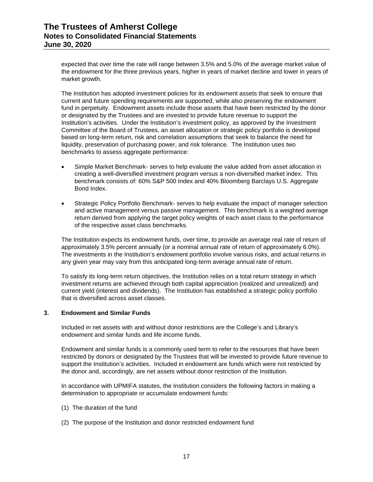expected that over time the rate will range between 3.5% and 5.0% of the average market value of the endowment for the three previous years, higher in years of market decline and lower in years of market growth.

The Institution has adopted investment policies for its endowment assets that seek to ensure that current and future spending requirements are supported, while also preserving the endowment fund in perpetuity. Endowment assets include those assets that have been restricted by the donor or designated by the Trustees and are invested to provide future revenue to support the Institution's activities. Under the Institution's investment policy, as approved by the Investment Committee of the Board of Trustees, an asset allocation or strategic policy portfolio is developed based on long-term return, risk and correlation assumptions that seek to balance the need for liquidity, preservation of purchasing power, and risk tolerance. The Institution uses two benchmarks to assess aggregate performance:

- Simple Market Benchmark- serves to help evaluate the value added from asset allocation in creating a well-diversified investment program versus a non-diversified market index. This benchmark consists of: 60% S&P 500 Index and 40% Bloomberg Barclays U.S. Aggregate Bond Index.
- Strategic Policy Portfolio Benchmark- serves to help evaluate the impact of manager selection and active management versus passive management. This benchmark is a weighted average return derived from applying the target policy weights of each asset class to the performance of the respective asset class benchmarks.

The Institution expects its endowment funds, over time, to provide an average real rate of return of approximately 3.5% percent annually (or a nominal annual rate of return of approximately 6.0%). The investments in the Institution's endowment portfolio involve various risks, and actual returns in any given year may vary from this anticipated long-term average annual rate of return.

To satisfy its long-term return objectives, the Institution relies on a total return strategy in which investment returns are achieved through both capital appreciation (realized and unrealized) and current yield (interest and dividends). The Institution has established a strategic policy portfolio that is diversified across asset classes.

# **3. Endowment and Similar Funds**

Included in net assets with and without donor restrictions are the College's and Library's endowment and similar funds and life income funds.

Endowment and similar funds is a commonly used term to refer to the resources that have been restricted by donors or designated by the Trustees that will be invested to provide future revenue to support the Institution's activities. Included in endowment are funds which were not restricted by the donor and, accordingly, are net assets without donor restriction of the Institution.

In accordance with UPMIFA statutes, the Institution considers the following factors in making a determination to appropriate or accumulate endowment funds:

- (1) The duration of the fund
- (2) The purpose of the Institution and donor restricted endowment fund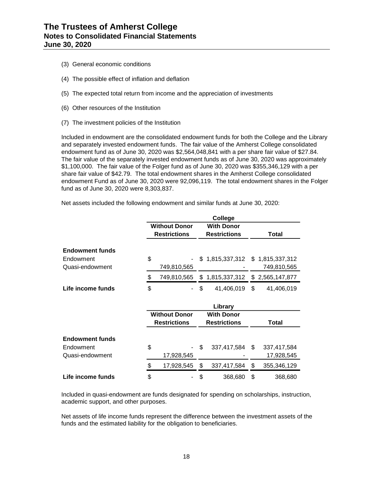- (3) General economic conditions
- (4) The possible effect of inflation and deflation
- (5) The expected total return from income and the appreciation of investments
- (6) Other resources of the Institution
- (7) The investment policies of the Institution

Included in endowment are the consolidated endowment funds for both the College and the Library and separately invested endowment funds. The fair value of the Amherst College consolidated endowment fund as of June 30, 2020 was \$2,564,048,841 with a per share fair value of \$27.84. The fair value of the separately invested endowment funds as of June 30, 2020 was approximately \$1,100,000. The fair value of the Folger fund as of June 30, 2020 was \$355,346,129 with a per share fair value of \$42.79. The total endowment shares in the Amherst College consolidated endowment Fund as of June 30, 2020 were 92,096,119. The total endowment shares in the Folger fund as of June 30, 2020 were 8,303,837.

Net assets included the following endowment and similar funds at June 30, 2020:

|                        |                      | College             |     |                 |
|------------------------|----------------------|---------------------|-----|-----------------|
|                        | <b>Without Donor</b> | <b>With Donor</b>   |     |                 |
|                        | <b>Restrictions</b>  | <b>Restrictions</b> |     | Total           |
| <b>Endowment funds</b> |                      |                     |     |                 |
| Endowment              | \$                   | \$1,815,337,312     |     | \$1,815,337,312 |
| Quasi-endowment        | 749,810,565          |                     |     | 749,810,565     |
|                        | \$<br>749,810,565    | \$<br>1,815,337,312 | \$  | 2,565,147,877   |
| Life income funds      | \$                   | \$<br>41,406,019    | \$  | 41,406,019      |
|                        |                      |                     |     |                 |
|                        |                      | Library             |     |                 |
|                        | <b>Without Donor</b> | <b>With Donor</b>   |     |                 |
|                        | <b>Restrictions</b>  | <b>Restrictions</b> |     | <b>Total</b>    |
| <b>Endowment funds</b> |                      |                     |     |                 |
| Endowment              | \$                   | \$<br>337,417,584   | \$. | 337,417,584     |
| Quasi-endowment        | 17,928,545           |                     |     | 17,928,545      |
|                        | \$<br>17,928,545     | \$<br>337,417,584   | \$  | 355,346,129     |

Included in quasi-endowment are funds designated for spending on scholarships, instruction, academic support, and other purposes.

Net assets of life income funds represent the difference between the investment assets of the funds and the estimated liability for the obligation to beneficiaries.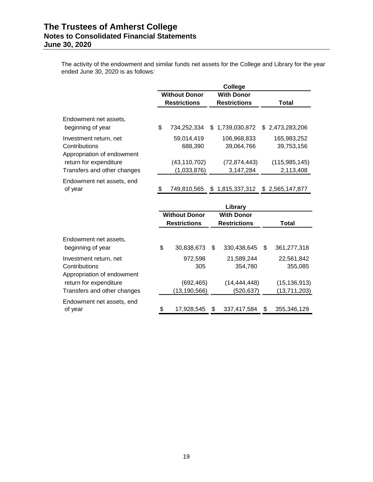The activity of the endowment and similar funds net assets for the College and Library for the year ended June 30, 2020 is as follows:

|                                                                       |                                                                                                                    |    | College                                  |                              |
|-----------------------------------------------------------------------|--------------------------------------------------------------------------------------------------------------------|----|------------------------------------------|------------------------------|
|                                                                       | <b>Without Donor</b><br><b>Restrictions</b>                                                                        |    | <b>With Donor</b><br><b>Restrictions</b> | Total                        |
| Endowment net assets,<br>beginning of year                            | \$<br>734,252,334                                                                                                  |    | \$1,739,030,872                          | \$2,473,283,206              |
| Investment return, net<br>Contributions<br>Appropriation of endowment | 59,014,419<br>688,390                                                                                              |    | 106,968,833<br>39,064,766                | 165,983,252<br>39,753,156    |
| return for expenditure<br>Transfers and other changes                 | (43, 110, 702)<br>(1,033,876)                                                                                      |    | (72, 874, 443)<br>3,147,284              | (115, 985, 145)<br>2,113,408 |
| Endowment net assets, end<br>of year                                  | \$<br>749,810,565                                                                                                  | S. | 1,815,337,312                            | \$2,565,147,877              |
|                                                                       | <b><i>ALCOHOL: <math>\mathbf{A} \cdot \mathbf{A} \cdot \mathbf{B} \cdot \mathbf{A} \cdot \mathbf{A}</math></i></b> |    | Library<br>$\mathbf{v}$                  |                              |

|                                                                       |    | <b>Restrictions</b>       |   | <b>Without Donor</b>         |    | <b>With Donor</b><br><b>Restrictions</b> |  |  |  | Total |
|-----------------------------------------------------------------------|----|---------------------------|---|------------------------------|----|------------------------------------------|--|--|--|-------|
| Endowment net assets,<br>beginning of year                            | \$ | 30.838.673                | S | 330,438,645                  | \$ | 361,277,318                              |  |  |  |       |
| Investment return, net<br>Contributions<br>Appropriation of endowment |    | 972,598<br>305            |   | 21,589,244<br>354,780        |    | 22,561,842<br>355,085                    |  |  |  |       |
| return for expenditure<br>Transfers and other changes                 |    | (692,465)<br>(13,190,566) |   | (14, 444, 448)<br>(520, 637) |    | (15, 136, 913)<br>(13,711,203)           |  |  |  |       |
| Endowment net assets, end<br>of year                                  | \$ | 17.928.545                | S | 337.417.584                  | \$ | 355,346,129                              |  |  |  |       |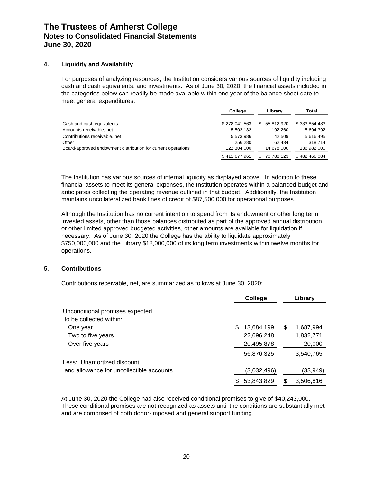# **4. Liquidity and Availability**

For purposes of analyzing resources, the Institution considers various sources of liquidity including cash and cash equivalents, and investments. As of June 30, 2020, the financial assets included in the categories below can readily be made available within one year of the balance sheet date to meet general expenditures.

|                                                              | College       | Library          | Total         |
|--------------------------------------------------------------|---------------|------------------|---------------|
|                                                              |               |                  |               |
| Cash and cash equivalents                                    | \$278.041.563 | 55.812.920<br>S. | \$333.854.483 |
| Accounts receivable, net                                     | 5.502.132     | 192.260          | 5,694,392     |
| Contributions receivable, net                                | 5,573,986     | 42.509           | 5,616,495     |
| Other                                                        | 256.280       | 62.434           | 318.714       |
| Board-approved endowment distribution for current operations | 122.304.000   | 14.678.000       | 136,982,000   |
|                                                              | \$411.677.961 | 70.788.123       | \$482,466,084 |

The Institution has various sources of internal liquidity as displayed above. In addition to these financial assets to meet its general expenses, the Institution operates within a balanced budget and anticipates collecting the operating revenue outlined in that budget. Additionally, the Institution maintains uncollateralized bank lines of credit of \$87,500,000 for operational purposes.

Although the Institution has no current intention to spend from its endowment or other long term invested assets, other than those balances distributed as part of the approved annual distribution or other limited approved budgeted activities, other amounts are available for liquidation if necessary. As of June 30, 2020 the College has the ability to liquidate approximately \$750,000,000 and the Library \$18,000,000 of its long term investments within twelve months for operations.

## **5. Contributions**

Contributions receivable, net, are summarized as follows at June 30, 2020:

|                                          |   | College     |   | Library   |
|------------------------------------------|---|-------------|---|-----------|
| Unconditional promises expected          |   |             |   |           |
| to be collected within:                  |   |             |   |           |
| One year                                 | S | 13,684,199  | S | 1,687,994 |
| Two to five years                        |   | 22,696,248  |   | 1,832,771 |
| Over five years                          |   | 20,495,878  |   | 20,000    |
|                                          |   | 56,876,325  |   | 3,540,765 |
| Less: Unamortized discount               |   |             |   |           |
| and allowance for uncollectible accounts |   | (3,032,496) |   | (33,949)  |
|                                          |   | 53,843,829  |   | 3,506,816 |

At June 30, 2020 the College had also received conditional promises to give of \$40,243,000. These conditional promises are not recognized as assets until the conditions are substantially met and are comprised of both donor-imposed and general support funding.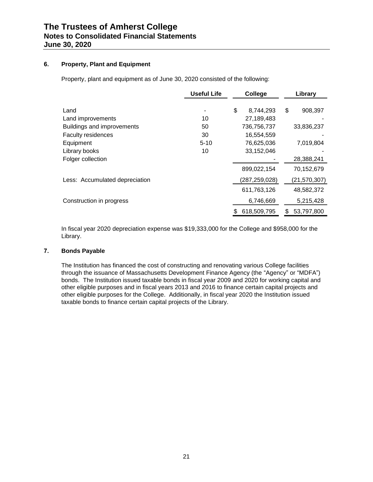# **6. Property, Plant and Equipment**

Property, plant and equipment as of June 30, 2020 consisted of the following:

|                                | <b>Useful Life</b> | <b>College</b>  | Library         |
|--------------------------------|--------------------|-----------------|-----------------|
| Land                           |                    | \$<br>8,744,293 | \$<br>908,397   |
| Land improvements              | 10                 | 27,189,483      |                 |
| Buildings and improvements     | 50                 | 736,756,737     | 33,836,237      |
| <b>Faculty residences</b>      | 30                 | 16,554,559      |                 |
| Equipment                      | $5 - 10$           | 76,625,036      | 7,019,804       |
| Library books                  | 10                 | 33,152,046      |                 |
| Folger collection              |                    |                 | 28,388,241      |
|                                |                    | 899,022,154     | 70,152,679      |
| Less: Accumulated depreciation |                    | (287,259,028)   | (21, 570, 307)  |
|                                |                    | 611,763,126     | 48,582,372      |
| Construction in progress       |                    | 6,746,669       | 5,215,428       |
|                                |                    | 618,509,795     | 53,797,800<br>S |

In fiscal year 2020 depreciation expense was \$19,333,000 for the College and \$958,000 for the Library.

# **7. Bonds Payable**

The Institution has financed the cost of constructing and renovating various College facilities through the issuance of Massachusetts Development Finance Agency (the "Agency" or "MDFA") bonds. The Institution issued taxable bonds in fiscal year 2009 and 2020 for working capital and other eligible purposes and in fiscal years 2013 and 2016 to finance certain capital projects and other eligible purposes for the College. Additionally, in fiscal year 2020 the Institution issued taxable bonds to finance certain capital projects of the Library.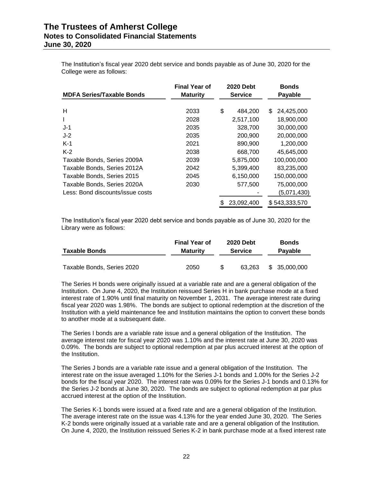The Institution's fiscal year 2020 debt service and bonds payable as of June 30, 2020 for the College were as follows:

| <b>MDFA Series/Taxable Bonds</b> | <b>Final Year of</b><br><b>Maturity</b> | <b>2020 Debt</b><br><b>Service</b> |            | <b>Bonds</b><br><b>Payable</b> |
|----------------------------------|-----------------------------------------|------------------------------------|------------|--------------------------------|
|                                  |                                         |                                    |            |                                |
| н                                | 2033                                    | \$                                 | 484,200    | \$<br>24,425,000               |
| L                                | 2028                                    |                                    | 2,517,100  | 18,900,000                     |
| $J-1$                            | 2035                                    |                                    | 328,700    | 30,000,000                     |
| $J-2$                            | 2035                                    |                                    | 200,900    | 20,000,000                     |
| $K-1$                            | 2021                                    |                                    | 890,900    | 1,200,000                      |
| $K-2$                            | 2038                                    |                                    | 668,700    | 45,645,000                     |
| Taxable Bonds, Series 2009A      | 2039                                    |                                    | 5,875,000  | 100,000,000                    |
| Taxable Bonds, Series 2012A      | 2042                                    |                                    | 5.399.400  | 83,235,000                     |
| Taxable Bonds, Series 2015       | 2045                                    |                                    | 6,150,000  | 150,000,000                    |
| Taxable Bonds, Series 2020A      | 2030                                    |                                    | 577,500    | 75,000,000                     |
| Less: Bond discounts/issue costs |                                         |                                    |            | (5,071,430)                    |
|                                  |                                         |                                    | 23,092,400 | \$543,333,570                  |

The Institution's fiscal year 2020 debt service and bonds payable as of June 30, 2020 for the Library were as follows:

| <b>Taxable Bonds</b>       | <b>Final Year of</b><br><b>Maturity</b> | <b>2020 Debt</b><br><b>Service</b> |        | <b>Bonds</b><br><b>Payable</b> |  |
|----------------------------|-----------------------------------------|------------------------------------|--------|--------------------------------|--|
| Taxable Bonds, Series 2020 | 2050                                    |                                    | 63.263 | \$ 35,000,000                  |  |

The Series H bonds were originally issued at a variable rate and are a general obligation of the Institution. On June 4, 2020, the Institution reissued Series H in bank purchase mode at a fixed interest rate of 1.90% until final maturity on November 1, 2031. The average interest rate during fiscal year 2020 was 1.98%. The bonds are subject to optional redemption at the discretion of the Institution with a yield maintenance fee and Institution maintains the option to convert these bonds to another mode at a subsequent date.

The Series I bonds are a variable rate issue and a general obligation of the Institution. The average interest rate for fiscal year 2020 was 1.10% and the interest rate at June 30, 2020 was 0.09%. The bonds are subject to optional redemption at par plus accrued interest at the option of the Institution.

The Series J bonds are a variable rate issue and a general obligation of the Institution. The interest rate on the issue averaged 1.10% for the Series J-1 bonds and 1.00% for the Series J-2 bonds for the fiscal year 2020. The interest rate was 0.09% for the Series J-1 bonds and 0.13% for the Series J-2 bonds at June 30, 2020. The bonds are subject to optional redemption at par plus accrued interest at the option of the Institution.

The Series K-1 bonds were issued at a fixed rate and are a general obligation of the Institution. The average interest rate on the issue was 4.13% for the year ended June 30, 2020. The Series K-2 bonds were originally issued at a variable rate and are a general obligation of the Institution. On June 4, 2020, the Institution reissued Series K-2 in bank purchase mode at a fixed interest rate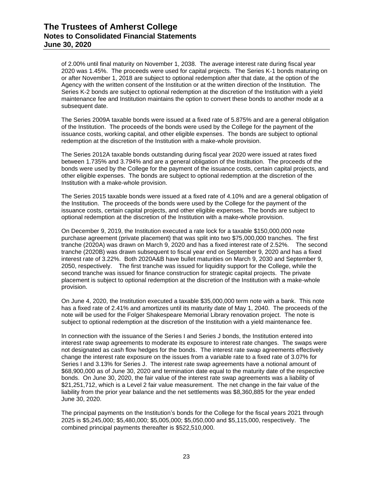of 2.00% until final maturity on November 1, 2038. The average interest rate during fiscal year 2020 was 1.45%. The proceeds were used for capital projects. The Series K-1 bonds maturing on or after November 1, 2018 are subject to optional redemption after that date, at the option of the Agency with the written consent of the Institution or at the written direction of the Institution. The Series K-2 bonds are subject to optional redemption at the discretion of the Institution with a yield maintenance fee and Institution maintains the option to convert these bonds to another mode at a subsequent date.

The Series 2009A taxable bonds were issued at a fixed rate of 5.875% and are a general obligation of the Institution. The proceeds of the bonds were used by the College for the payment of the issuance costs, working capital, and other eligible expenses. The bonds are subject to optional redemption at the discretion of the Institution with a make-whole provision.

The Series 2012A taxable bonds outstanding during fiscal year 2020 were issued at rates fixed between 1.735% and 3.794% and are a general obligation of the Institution. The proceeds of the bonds were used by the College for the payment of the issuance costs, certain capital projects, and other eligible expenses. The bonds are subject to optional redemption at the discretion of the Institution with a make-whole provision.

The Series 2015 taxable bonds were issued at a fixed rate of 4.10% and are a general obligation of the Institution. The proceeds of the bonds were used by the College for the payment of the issuance costs, certain capital projects, and other eligible expenses. The bonds are subject to optional redemption at the discretion of the Institution with a make-whole provision.

On December 9, 2019, the Institution executed a rate lock for a taxable \$150,000,000 note purchase agreement (private placement) that was split into two \$75,000,000 tranches. The first tranche (2020A) was drawn on March 9, 2020 and has a fixed interest rate of 2.52%. The second tranche (2020B) was drawn subsequent to fiscal year end on September 9, 2020 and has a fixed interest rate of 3.22%. Both 2020A&B have bullet maturities on March 9, 2030 and September 9, 2050, respectively. The first tranche was issued for liquidity support for the College, while the second tranche was issued for finance construction for strategic capital projects. The private placement is subject to optional redemption at the discretion of the Institution with a make-whole provision.

On June 4, 2020, the Institution executed a taxable \$35,000,000 term note with a bank. This note has a fixed rate of 2.41% and amortizes until its maturity date of May 1, 2040. The proceeds of the note will be used for the Folger Shakespeare Memorial Library renovation project. The note is subject to optional redemption at the discretion of the Institution with a yield maintenance fee.

In connection with the issuance of the Series I and Series J bonds, the Institution entered into interest rate swap agreements to moderate its exposure to interest rate changes. The swaps were not designated as cash flow hedges for the bonds. The interest rate swap agreements effectively change the interest rate exposure on the issues from a variable rate to a fixed rate of 3.07% for Series I and 3.13% for Series J. The interest rate swap agreements have a notional amount of \$68,900,000 as of June 30, 2020 and termination date equal to the maturity date of the respective bonds. On June 30, 2020, the fair value of the interest rate swap agreements was a liability of \$21,251,712, which is a Level 2 fair value measurement. The net change in the fair value of the liability from the prior year balance and the net settlements was \$8,360,885 for the year ended June 30, 2020.

The principal payments on the Institution's bonds for the College for the fiscal years 2021 through 2025 is \$5,245,000; \$5,480,000; \$5,005,000; \$5,050,000 and \$5,115,000, respectively. The combined principal payments thereafter is \$522,510,000.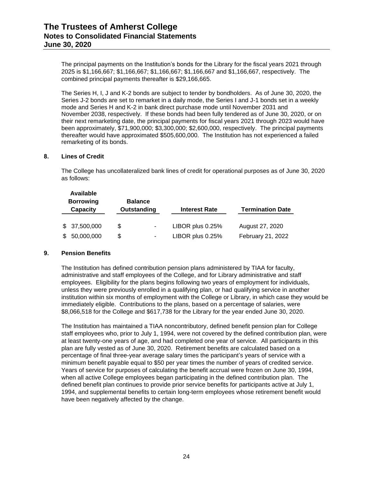The principal payments on the Institution's bonds for the Library for the fiscal years 2021 through 2025 is \$1,166,667; \$1,166,667; \$1,166,667; \$1,166,667 and \$1,166,667, respectively. The combined principal payments thereafter is \$29,166,665.

The Series H, I, J and K-2 bonds are subject to tender by bondholders. As of June 30, 2020, the Series J-2 bonds are set to remarket in a daily mode, the Series I and J-1 bonds set in a weekly mode and Series H and K-2 in bank direct purchase mode until November 2031 and November 2038, respectively. If these bonds had been fully tendered as of June 30, 2020, or on their next remarketing date, the principal payments for fiscal years 2021 through 2023 would have been approximately, \$71,900,000; \$3,300,000; \$2,600,000, respectively. The principal payments thereafter would have approximated \$505,600,000. The Institution has not experienced a failed remarketing of its bonds.

# **8. Lines of Credit**

The College has uncollateralized bank lines of credit for operational purposes as of June 30, 2020 as follows:

| <b>Available</b><br><b>Borrowing</b><br>Capacity |              | <b>Balance</b><br><b>Outstanding</b> |   | <b>Interest Rate</b> | <b>Termination Date</b> |  |  |
|--------------------------------------------------|--------------|--------------------------------------|---|----------------------|-------------------------|--|--|
|                                                  | \$37,500,000 | S                                    |   | LIBOR plus 0.25%     | August 27, 2020         |  |  |
| \$                                               | 50,000,000   | \$                                   | ۰ | LIBOR plus 0.25%     | February 21, 2022       |  |  |

# **9. Pension Benefits**

The Institution has defined contribution pension plans administered by TIAA for faculty, administrative and staff employees of the College, and for Library administrative and staff employees. Eligibility for the plans begins following two years of employment for individuals, unless they were previously enrolled in a qualifying plan, or had qualifying service in another institution within six months of employment with the College or Library, in which case they would be immediately eligible. Contributions to the plans, based on a percentage of salaries, were \$8,066,518 for the College and \$617,738 for the Library for the year ended June 30, 2020.

The Institution has maintained a TIAA noncontributory, defined benefit pension plan for College staff employees who, prior to July 1, 1994, were not covered by the defined contribution plan, were at least twenty-one years of age, and had completed one year of service. All participants in this plan are fully vested as of June 30, 2020. Retirement benefits are calculated based on a percentage of final three-year average salary times the participant's years of service with a minimum benefit payable equal to \$50 per year times the number of years of credited service. Years of service for purposes of calculating the benefit accrual were frozen on June 30, 1994, when all active College employees began participating in the defined contribution plan. The defined benefit plan continues to provide prior service benefits for participants active at July 1, 1994, and supplemental benefits to certain long-term employees whose retirement benefit would have been negatively affected by the change.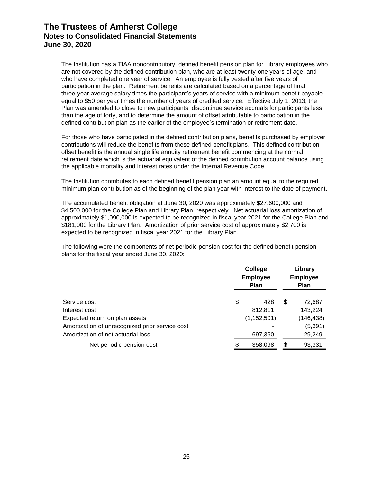The Institution has a TIAA noncontributory, defined benefit pension plan for Library employees who are not covered by the defined contribution plan, who are at least twenty-one years of age, and who have completed one year of service. An employee is fully vested after five years of participation in the plan. Retirement benefits are calculated based on a percentage of final three-year average salary times the participant's years of service with a minimum benefit payable equal to \$50 per year times the number of years of credited service. Effective July 1, 2013, the Plan was amended to close to new participants, discontinue service accruals for participants less than the age of forty, and to determine the amount of offset attributable to participation in the defined contribution plan as the earlier of the employee's termination or retirement date.

For those who have participated in the defined contribution plans, benefits purchased by employer contributions will reduce the benefits from these defined benefit plans. This defined contribution offset benefit is the annual single life annuity retirement benefit commencing at the normal retirement date which is the actuarial equivalent of the defined contribution account balance using the applicable mortality and interest rates under the Internal Revenue Code.

The Institution contributes to each defined benefit pension plan an amount equal to the required minimum plan contribution as of the beginning of the plan year with interest to the date of payment.

The accumulated benefit obligation at June 30, 2020 was approximately \$27,600,000 and \$4,500,000 for the College Plan and Library Plan, respectively. Net actuarial loss amortization of approximately \$1,090,000 is expected to be recognized in fiscal year 2021 for the College Plan and \$181,000 for the Library Plan. Amortization of prior service cost of approximately \$2,700 is expected to be recognized in fiscal year 2021 for the Library Plan.

The following were the components of net periodic pension cost for the defined benefit pension plans for the fiscal year ended June 30, 2020:

|                                                 | College<br><b>Employee</b><br><b>Plan</b> |               | Library<br><b>Employee</b><br><b>Plan</b> |            |
|-------------------------------------------------|-------------------------------------------|---------------|-------------------------------------------|------------|
| Service cost                                    | \$                                        | 428           | S                                         | 72,687     |
| Interest cost                                   |                                           | 812,811       |                                           | 143,224    |
| Expected return on plan assets                  |                                           | (1, 152, 501) |                                           | (146, 438) |
| Amortization of unrecognized prior service cost |                                           |               |                                           | (5, 391)   |
| Amortization of net actuarial loss              |                                           | 697,360       |                                           | 29,249     |
| Net periodic pension cost                       | \$                                        | 358,098       | \$                                        | 93,331     |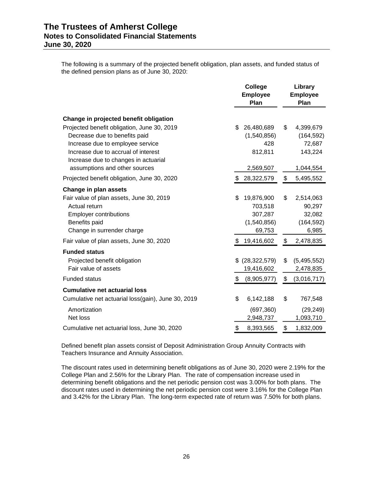The following is a summary of the projected benefit obligation, plan assets, and funded status of the defined pension plans as of June 30, 2020:

|                                                                       | College<br><b>Employee</b><br>Plan | Library<br><b>Employee</b><br>Plan |
|-----------------------------------------------------------------------|------------------------------------|------------------------------------|
| Change in projected benefit obligation                                |                                    |                                    |
| Projected benefit obligation, June 30, 2019                           | \$<br>26,480,689                   | \$<br>4,399,679                    |
| Decrease due to benefits paid                                         | (1,540,856)                        | (164, 592)                         |
| Increase due to employee service                                      | 428                                | 72,687                             |
| Increase due to accrual of interest                                   | 812,811                            | 143,224                            |
| Increase due to changes in actuarial<br>assumptions and other sources | 2,569,507                          | 1,044,554                          |
| Projected benefit obligation, June 30, 2020                           | 28,322,579                         | \$<br>5,495,552                    |
| Change in plan assets                                                 |                                    |                                    |
| Fair value of plan assets, June 30, 2019                              | \$<br>19,876,900                   | \$<br>2,514,063                    |
| Actual return                                                         | 703,518                            | 90,297                             |
| <b>Employer contributions</b>                                         | 307,287                            | 32,082                             |
| Benefits paid                                                         | (1,540,856)                        | (164, 592)                         |
| Change in surrender charge                                            | 69,753                             | 6,985                              |
| Fair value of plan assets, June 30, 2020                              | \$<br>19,416,602                   | \$<br>2,478,835                    |
| <b>Funded status</b>                                                  |                                    |                                    |
| Projected benefit obligation                                          | \$<br>(28, 322, 579)               | \$<br>(5,495,552)                  |
| Fair value of assets                                                  | 19,416,602                         | 2,478,835                          |
| <b>Funded status</b>                                                  | \$<br>(8,905,977)                  | \$<br>(3,016,717)                  |
| <b>Cumulative net actuarial loss</b>                                  |                                    |                                    |
| Cumulative net actuarial loss(gain), June 30, 2019                    | \$<br>6,142,188                    | \$<br>767,548                      |
| Amortization                                                          | (697, 360)                         | (29, 249)                          |
| Net loss                                                              | 2,948,737                          | 1,093,710                          |
| Cumulative net actuarial loss, June 30, 2020                          | \$<br>8,393,565                    | \$<br>1,832,009                    |

Defined benefit plan assets consist of Deposit Administration Group Annuity Contracts with Teachers Insurance and Annuity Association.

The discount rates used in determining benefit obligations as of June 30, 2020 were 2.19% for the College Plan and 2.56% for the Library Plan. The rate of compensation increase used in determining benefit obligations and the net periodic pension cost was 3.00% for both plans. The discount rates used in determining the net periodic pension cost were 3.16% for the College Plan and 3.42% for the Library Plan. The long-term expected rate of return was 7.50% for both plans.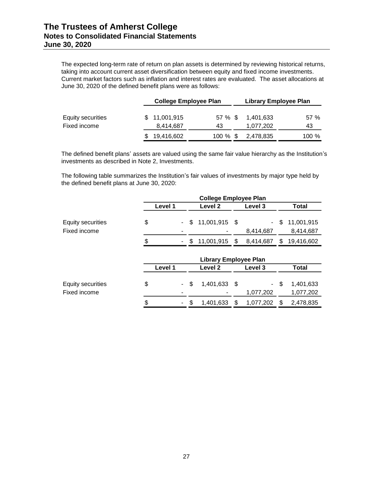The expected long-term rate of return on plan assets is determined by reviewing historical returns, taking into account current asset diversification between equity and fixed income investments. Current market factors such as inflation and interest rates are evaluated. The asset allocations at June 30, 2020 of the defined benefit plans were as follows:

|                   | <b>College Employee Plan</b> |             | <b>Library Employee Plan</b> |       |
|-------------------|------------------------------|-------------|------------------------------|-------|
| Equity securities | \$11,001,915                 | 57 % \$     | 1.401.633                    | 57%   |
| Fixed income      | 8,414,687                    | 43          | 1,077,202                    | 43    |
|                   | 19,416,602                   | $100 \%$ \$ | 2,478,835                    | 100 % |

The defined benefit plans' assets are valued using the same fair value hierarchy as the Institution's investments as described in Note 2, Investments.

The following table summarizes the Institution's fair values of investments by major type held by the defined benefit plans at June 30, 2020:

|                                          | <b>College Employee Plan</b> |                              |      |                             |     |                         |  |  |  |
|------------------------------------------|------------------------------|------------------------------|------|-----------------------------|-----|-------------------------|--|--|--|
|                                          | Level 1                      | Level <sub>2</sub>           |      | Level 3                     |     | Total                   |  |  |  |
| <b>Equity securities</b><br>Fixed income | \$<br>\$<br>۰.               | 11,001,915                   | \$   | $\blacksquare$<br>8,414,687 | \$  | 11,001,915<br>8,414,687 |  |  |  |
|                                          | \$<br>\$                     | 11,001,915                   | \$   | 8,414,687                   | S   | 19,416,602              |  |  |  |
|                                          |                              | <b>Library Employee Plan</b> |      |                             |     |                         |  |  |  |
|                                          | Level 1                      | Level 2                      |      | Level 3                     |     | Total                   |  |  |  |
| <b>Equity securities</b><br>Fixed income | \$<br>\$<br>$\sim$           | 1,401,633                    | - \$ | $\sim$<br>1,077,202         | -\$ | 1,401,633<br>1,077,202  |  |  |  |
|                                          | \$<br>\$<br>۰                | 1.401.633                    | \$   | 1,077,202                   | S   | 2,478,835               |  |  |  |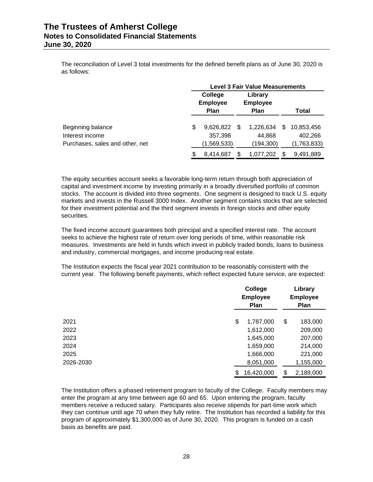The reconciliation of Level 3 total investments for the defined benefit plans as of June 30, 2020 is as follows:

|                                 |    | <b>Level 3 Fair Value Measurements</b> |    |                            |   |             |  |  |
|---------------------------------|----|----------------------------------------|----|----------------------------|---|-------------|--|--|
|                                 |    | College<br><b>Employee</b>             |    | Library<br><b>Employee</b> |   |             |  |  |
|                                 |    | <b>Plan</b>                            |    | <b>Plan</b>                |   | Total       |  |  |
| Beginning balance               | \$ | 9,626,822                              | \$ | 1.226.634                  | S | 10,853,456  |  |  |
| Interest income                 |    | 357,398                                |    | 44,868                     |   | 402,266     |  |  |
| Purchases, sales and other, net |    | (1,569,533)                            |    | (194,300)                  |   | (1,763,833) |  |  |
|                                 | S  | 8.414.687                              | S  | 1,077,202                  |   | 9.491.889   |  |  |

The equity securities account seeks a favorable long-term return through both appreciation of capital and investment income by investing primarily in a broadly diversified portfolio of common stocks. The account is divided into three segments. One segment is designed to track U.S. equity markets and invests in the Russell 3000 Index. Another segment contains stocks that are selected for their investment potential and the third segment invests in foreign stocks and other equity securities.

The fixed income account guarantees both principal and a specified interest rate. The account seeks to achieve the highest rate of return over long periods of time, within reasonable risk measures. Investments are held in funds which invest in publicly traded bonds, loans to business and industry, commercial mortgages, and income producing real estate.

The Institution expects the fiscal year 2021 contribution to be reasonably consistent with the current year. The following benefit payments, which reflect expected future service, are expected:

|           | College<br><b>Employee</b><br><b>Plan</b> |    |           |  |
|-----------|-------------------------------------------|----|-----------|--|
| 2021      | \$<br>1,787,000                           | \$ | 183,000   |  |
| 2022      | 1,612,000                                 |    | 209,000   |  |
| 2023      | 1,645,000                                 |    | 207,000   |  |
| 2024      | 1,659,000                                 |    | 214,000   |  |
| 2025      | 1,666,000                                 |    | 221,000   |  |
| 2026-2030 | 8,051,000                                 |    | 1,155,000 |  |
|           | \$<br>16,420,000                          | \$ | 2,189,000 |  |

The Institution offers a phased retirement program to faculty of the College. Faculty members may enter the program at any time between age 60 and 65. Upon entering the program, faculty members receive a reduced salary. Participants also receive stipends for part-time work which they can continue until age 70 when they fully retire. The Institution has recorded a liability for this program of approximately \$1,300,000 as of June 30, 2020. This program is funded on a cash basis as benefits are paid.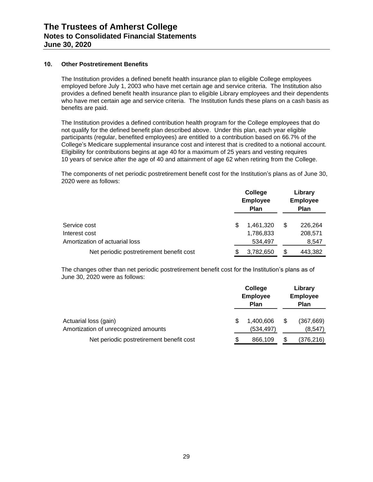# **10. Other Postretirement Benefits**

The Institution provides a defined benefit health insurance plan to eligible College employees employed before July 1, 2003 who have met certain age and service criteria. The Institution also provides a defined benefit health insurance plan to eligible Library employees and their dependents who have met certain age and service criteria. The Institution funds these plans on a cash basis as benefits are paid.

The Institution provides a defined contribution health program for the College employees that do not qualify for the defined benefit plan described above. Under this plan, each year eligible participants (regular, benefited employees) are entitled to a contribution based on 66.7% of the College's Medicare supplemental insurance cost and interest that is credited to a notional account. Eligibility for contributions begins at age 40 for a maximum of 25 years and vesting requires 10 years of service after the age of 40 and attainment of age 62 when retiring from the College.

The components of net periodic postretirement benefit cost for the Institution's plans as of June 30, 2020 were as follows:

|                                          |   | College<br><b>Employee</b><br><b>Plan</b> |   | Library<br><b>Employee</b><br><b>Plan</b> |  |  |
|------------------------------------------|---|-------------------------------------------|---|-------------------------------------------|--|--|
| Service cost<br>Interest cost            | S | 1.461.320<br>1,786,833                    | S | 226,264<br>208,571                        |  |  |
| Amortization of actuarial loss           |   | 534,497                                   |   | 8,547                                     |  |  |
| Net periodic postretirement benefit cost |   | 3,782,650                                 |   | 443,382                                   |  |  |

The changes other than net periodic postretirement benefit cost for the Institution's plans as of June 30, 2020 were as follows:

|                                                               | College<br><b>Employee</b><br>Plan |                        |   | Library<br><b>Employee</b><br><b>Plan</b> |
|---------------------------------------------------------------|------------------------------------|------------------------|---|-------------------------------------------|
| Actuarial loss (gain)<br>Amortization of unrecognized amounts | S                                  | 1.400.606<br>(534,497) | S | (367, 669)<br>(8, 547)                    |
| Net periodic postretirement benefit cost                      | S                                  | 866,109                |   | (376, 216)                                |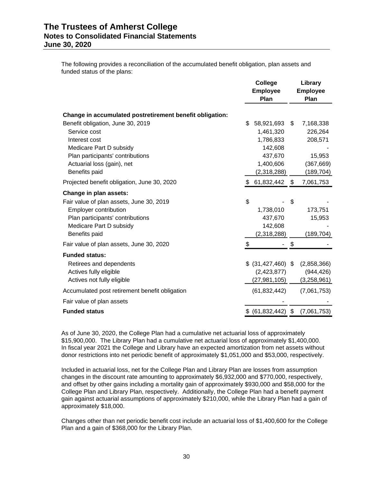The following provides a reconciliation of the accumulated benefit obligation, plan assets and funded status of the plans:

|                                                          | College              |      | Library         |  |  |
|----------------------------------------------------------|----------------------|------|-----------------|--|--|
|                                                          | <b>Employee</b>      |      | <b>Employee</b> |  |  |
|                                                          | Plan                 |      | Plan            |  |  |
| Change in accumulated postretirement benefit obligation: |                      |      |                 |  |  |
| Benefit obligation, June 30, 2019                        | \$<br>58,921,693     | \$   | 7,168,338       |  |  |
| Service cost                                             | 1,461,320            |      | 226,264         |  |  |
| Interest cost                                            | 1,786,833            |      | 208,571         |  |  |
| Medicare Part D subsidy                                  | 142,608              |      |                 |  |  |
| Plan participants' contributions                         | 437,670              |      | 15,953          |  |  |
| Actuarial loss (gain), net                               | 1,400,606            |      | (367, 669)      |  |  |
| Benefits paid                                            | (2,318,288)          |      | (189, 704)      |  |  |
| Projected benefit obligation, June 30, 2020              | \$61,832,442         | - \$ | 7,061,753       |  |  |
| Change in plan assets:                                   |                      |      |                 |  |  |
| Fair value of plan assets, June 30, 2019                 | \$                   | \$   |                 |  |  |
| Employer contribution                                    | 1,738,010            |      | 173,751         |  |  |
| Plan participants' contributions                         | 437,670              |      | 15,953          |  |  |
| Medicare Part D subsidy                                  | 142,608              |      |                 |  |  |
| Benefits paid                                            | (2,318,288)          |      | (189,704)       |  |  |
| Fair value of plan assets, June 30, 2020                 | \$                   | \$   |                 |  |  |
| <b>Funded status:</b>                                    |                      |      |                 |  |  |
| Retirees and dependents                                  | $$$ (31,427,460) $$$ |      | (2,858,366)     |  |  |
| Actives fully eligible                                   | (2, 423, 877)        |      | (944, 426)      |  |  |
| Actives not fully eligible                               | (27,981,105)         |      | (3,258,961)     |  |  |
| Accumulated post retirement benefit obligation           | (61, 832, 442)       |      | (7,061,753)     |  |  |
| Fair value of plan assets                                |                      |      |                 |  |  |
| <b>Funded status</b>                                     | \$ (61,832,442)      | - \$ | (7,061,753)     |  |  |

As of June 30, 2020, the College Plan had a cumulative net actuarial loss of approximately \$15,900,000. The Library Plan had a cumulative net actuarial loss of approximately \$1,400,000. In fiscal year 2021 the College and Library have an expected amortization from net assets without donor restrictions into net periodic benefit of approximately \$1,051,000 and \$53,000, respectively.

Included in actuarial loss, net for the College Plan and Library Plan are losses from assumption changes in the discount rate amounting to approximately \$6,932,000 and \$770,000, respectively, and offset by other gains including a mortality gain of approximately \$930,000 and \$58,000 for the College Plan and Library Plan, respectively. Additionally, the College Plan had a benefit payment gain against actuarial assumptions of approximately \$210,000, while the Library Plan had a gain of approximately \$18,000.

Changes other than net periodic benefit cost include an actuarial loss of \$1,400,600 for the College Plan and a gain of \$368,000 for the Library Plan.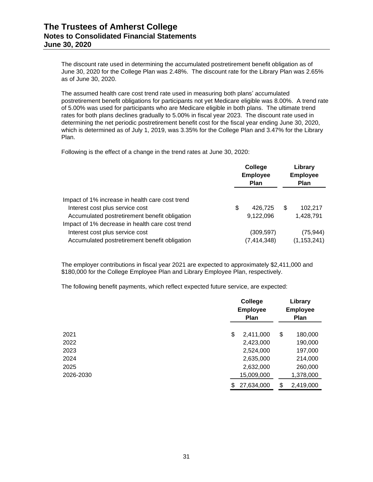The discount rate used in determining the accumulated postretirement benefit obligation as of June 30, 2020 for the College Plan was 2.48%. The discount rate for the Library Plan was 2.65% as of June 30, 2020.

The assumed health care cost trend rate used in measuring both plans' accumulated postretirement benefit obligations for participants not yet Medicare eligible was 8.00%. A trend rate of 5.00% was used for participants who are Medicare eligible in both plans. The ultimate trend rates for both plans declines gradually to 5.00% in fiscal year 2023. The discount rate used in determining the net periodic postretirement benefit cost for the fiscal year ending June 30, 2020, which is determined as of July 1, 2019, was 3.35% for the College Plan and 3.47% for the Library Plan.

Following is the effect of a change in the trend rates at June 30, 2020:

|                                                                                                                                     | College<br><b>Employee</b><br><b>Plan</b> |                             |     | Library<br><b>Employee</b><br><b>Plan</b> |
|-------------------------------------------------------------------------------------------------------------------------------------|-------------------------------------------|-----------------------------|-----|-------------------------------------------|
| Impact of 1% increase in health care cost trend<br>Interest cost plus service cost<br>Accumulated postretirement benefit obligation | \$                                        | 426,725<br>9,122,096        | \$. | 102,217<br>1,428,791                      |
| Impact of 1% decrease in health care cost trend<br>Interest cost plus service cost<br>Accumulated postretirement benefit obligation |                                           | (309, 597)<br>(7, 414, 348) |     | (75, 944)<br>(1, 153, 241)                |

The employer contributions in fiscal year 2021 are expected to approximately \$2,411,000 and \$180,000 for the College Employee Plan and Library Employee Plan, respectively.

The following benefit payments, which reflect expected future service, are expected:

|           | College<br><b>Employee</b><br><b>Plan</b> |    |           |  |
|-----------|-------------------------------------------|----|-----------|--|
| 2021      | \$<br>2,411,000                           | \$ | 180,000   |  |
| 2022      | 2,423,000                                 |    | 190,000   |  |
| 2023      | 2,524,000                                 |    | 197,000   |  |
| 2024      | 2,635,000                                 |    | 214,000   |  |
| 2025      | 2,632,000                                 |    | 260,000   |  |
| 2026-2030 | 15,009,000                                |    | 1,378,000 |  |
|           | \$<br>27,634,000                          | \$ | 2,419,000 |  |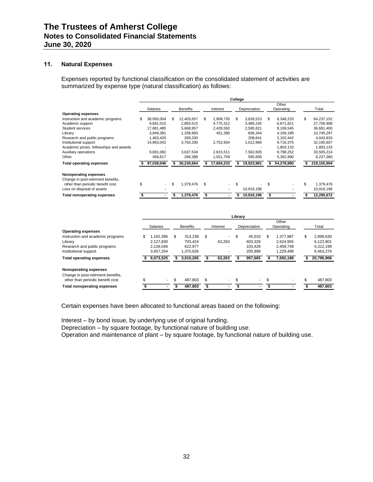# **11. Natural Expenses**

Expenses reported by functional classification on the consolidated statement of activities are summarized by expense type (natural classification) as follows:

|                                         | College    |    |                 |    |                          |     |              |     |                    |     |             |
|-----------------------------------------|------------|----|-----------------|----|--------------------------|-----|--------------|-----|--------------------|-----|-------------|
|                                         | Salaries   |    | <b>Benefits</b> |    | Interest                 |     | Depreciation |     | Other<br>Operating |     | Total       |
| <b>Operating expenses</b>               |            |    |                 |    |                          |     |              |     |                    |     |             |
| Instruction and academic programs       | 38.950.004 | \$ | 12.403.657      | \$ | 2.908.735                | \$  | 3.626.523    | \$  | 6.348.233          | \$  | 64,237,152  |
| Academic support                        | 9,681,015  |    | 2,893,515       |    | 4,775,312                |     | 3,485,245    |     | 6,871,821          |     | 27,706,908  |
| Student services                        | 17,881,485 |    | 5,668,957       |    | 2,428,592                |     | 2,595,821    |     | 8,106,545          |     | 36,681,400  |
| Library                                 | 3,949,381  |    | 1,338,993       |    | 451,390                  |     | 836,344      |     | 4,169,189          |     | 10,745,297  |
| Research and public programs            | 1,463,420  |    | 269,330         |    |                          |     | 208,641      |     | 2,102,442          |     | 4,043,833   |
| Institutional support                   | 14,963,042 |    | 3,750,290       |    | 2,752,934                |     | 1,012,966    |     | 9,716,375          |     | 32,195,607  |
| Academic prizes, fellowships and awards |            |    |                 |    |                          |     |              |     | 1,803,133          |     | 1,803,133   |
| Auxiliary operations                    | 9,691,082  |    | 3,637,534       |    | 2.815.511                |     | 7,562,835    |     | 9,798,252          |     | 33,505,214  |
| Other                                   | 458,617    |    | 268,388         |    | 1,551,759                |     | 595,606      |     | 5,362,990          |     | 8,237,360   |
| <b>Total operating expenses</b>         | 97,038,046 |    | 30,230,664      |    | 17,684,233               |     | 19,923,981   |     | 54,278,980         |     | 219,155,904 |
| Nonoperating expenses                   |            |    |                 |    |                          |     |              |     |                    |     |             |
| Change in post-retirment benefits,      |            |    |                 |    |                          |     |              |     |                    |     |             |
| other than periodic benefit cost        | \$         | \$ | 1,379,476       | \$ | $\overline{\phantom{a}}$ | \$. |              | \$. |                    | \$. | 1,379,476   |
| Loss on disposal of assets              |            |    |                 |    |                          |     | 10,916,196   |     |                    |     | 10,916,196  |
| <b>Total nonoperating expenses</b>      |            |    | 1,379,476       | \$ |                          |     | 10,916,196   | \$  |                    |     | 12,295,672  |

|                                                                                                                                       |    | Library                             |    |                               |     |          |    |                              |    |                                     |    |                                     |
|---------------------------------------------------------------------------------------------------------------------------------------|----|-------------------------------------|----|-------------------------------|-----|----------|----|------------------------------|----|-------------------------------------|----|-------------------------------------|
|                                                                                                                                       |    | <b>Salaries</b>                     |    | <b>Benefits</b>               |     | Interest |    | Depreciation                 |    | Other<br>Operating                  |    | Total                               |
| <b>Operating expenses</b><br>Instruction and academic programs<br>Library<br>Research and public programs                             | S  | 1.162.395<br>2.127.830<br>2,126,046 | \$ | 313.238<br>703.424<br>622.977 | \$  | 63.263   | \$ | 45.010<br>603.329<br>103.428 | S  | 1.377.987<br>2.624.955<br>2.459.748 | \$ | 2,898,630<br>6.122.801<br>5,312,199 |
| Institutional support<br><b>Total operating expenses</b>                                                                              |    | 3.657.254<br>9,073,525              |    | 1.370.626<br>3.010.265        |     | 63,263   |    | 205.898<br>957,665           |    | 1.229.498<br>7,692,188              |    | 6,463,276<br>20,796,906             |
| Nonoperating expenses<br>Change in post-retirment benefits,<br>other than periodic benefit cost<br><b>Total nonoperating expenses</b> | \$ | $\overline{\phantom{0}}$            | \$ | 487.803<br>487,803            | \$. | $\sim$   | \$ | $\overline{\phantom{a}}$     | \$ |                                     | \$ | 487.803<br>487,803                  |

Certain expenses have been allocated to functional areas based on the following:

Interest – by bond issue, by underlying use of original funding.

Depreciation – by square footage, by functional nature of building use.

Operation and maintenance of plant – by square footage, by functional nature of building use.